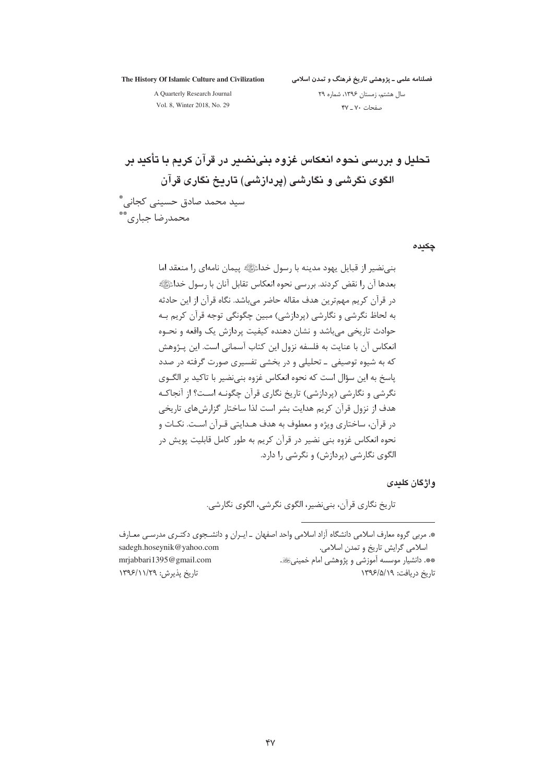The History Of Islamic Culture and Civilization

A Quarterly Research Journal Vol. 8, Winter 2018, No. 29

محمدرضا جباري ٌ

سال هشتم، زمستان ۱۳۹۶، شماره ۲۹ صفحات ۷۰ ـ ۴۷

تحليل و پررسي نجوه انعكاس غزوه پني نضير در قرآن كريم يا تأكيد پر الگوی نگرشی و نگارشی (پردازشی) تاریخ نگاری قرآن سید محمد صادق حسینے کجانے، ؓ

چکیدہ

بني نضير از قبايل يهود مدينه با رسول خداءًﷺ پيمان نامهاي را منعقد اما بعدها آن را نقض كردند. بررسي نحوه انعكاس تقابل آنان با رسول خداﷺ در قرآن کریم مهمترین هدف مقاله حاضر می باشد. نگاه قرآن از این حادثه به لحاظ نگرشی و نگارشی (پردازشی) مبین چگونگی توجه قرآن کریم بـه حوادث تاریخی می باشد و نشان دهنده کیفیت پردازش یک واقعه و نحـوه انعکاس آن با عنایت به فلسفه نزول این کتاب آسمانی است. این پـژوهش که به شیوه توصیفی ــ تحلیلی و در بخشی تفسیری صورت گرفته در صدد پاسخ به این سؤال است که نحوه انعکاس غزوه بنی،نضیر با تاکید بر الگــوی نگرشی و نگارشی (پردازشی) تاریخ نگاری قرآن چگونـه اسـت؟ از آنجاكـه هدف از نزول قرآن کریم هدایت بشر است لذا ساختار گزارشهای تاریخی در قرآن، ساختاری ویژه و معطوف به هدف هـدایتی قـرآن اسـت. نکـات و نحوه انعکاس غزوه بنی نضیر در قرآن کریم به طور کامل قابلیت پویش در الگوی نگارشی (پردازش) و نگرشی را دارد.

واژگان کلددی

تاريخ نگاري قرآن، بني نضير، الگوي نگرشي، الگوي نگارشي.

| *. مربی گروه معارف اسلامی دانشگاه آزاد اسلامی واحد اصفهان _ايـران و دانشـجوی دکتـری مدرسـی معـارف |                                                |
|---------------------------------------------------------------------------------------------------|------------------------------------------------|
| sadegh.hoseynik@yahoo.com                                                                         | اسلامی گرایش تاریخ و تمدن اسلامی.              |
| mrjabbari 1395@gmail.com                                                                          | **. دانشیار موسسه آموزشی و پژوهشی امام خمینیﷺ. |
| تاریخ پذیرش: ۱۳۹۶/۱۱/۲۹                                                                           | تاريخ دريافت: ١٣٩۶/۵/١٩                        |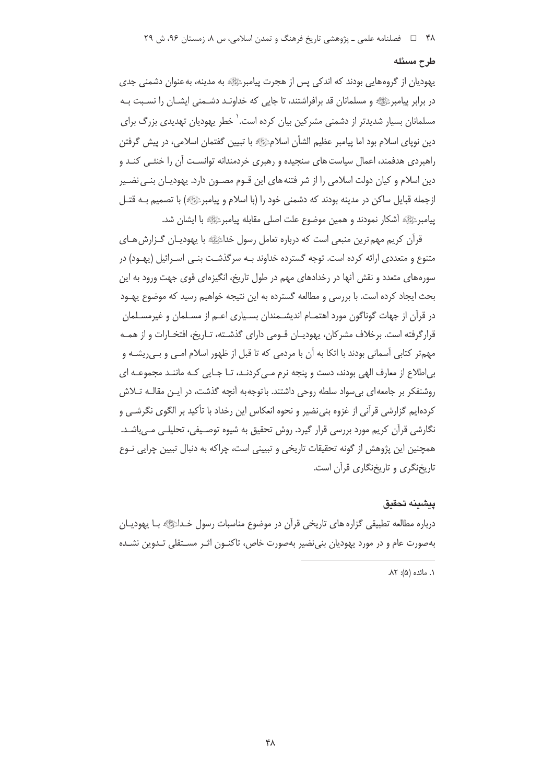#### طرح مسئله

یهودیان از گروههایی بودند که اندکی پس از هجرت پیامبرﷺ به مدینه، به عنوان دشمنی جدی در برابر پیامبرﷺ و مسلمانان قد برافراشتند، تا جایی که خداونـد دشــمنی ایشــان را نسـبت بــه مسلمانان بسیار شدیدتر از دشمنی مشرکین بیان کرده است.<sup>\</sup> خطر یهودیان تهدیدی بزرگ برای دین نوپای اسلام بود اما پیامبر عظیم الشأن اسلامﷺ با تبیین گفتمان اسلامی، در پیش گرفتن راهبردی هدفمند، اعمال سیاست های سنجیده و رهبری خردمندانه توانسـت آن را خنثـی کنـد و دین اسلام و کیان دولت اسلامی را از شر فتنه های این قــوم مصــون دارد. یهودیــان بنــی نضــیر ازجمله قبایل ساکن در مدینه بودند که دشمنی خود را (با اسلام و پیامبرﷺ) با تصمیم بـه قتـل پيامبرﷺ أشكار نمودند و همين موضوع علت اصلى مقابله پيامبرﷺ با ايشان شد.

قرآن کریم مهم ترین منبعی است که درباره تعامل رسول خداﷺ با یهودیـان گــزارش هــای متنوع و متعددی ارائه کرده است. توجه گسترده خداوند بـه سرگذشـت بنـی اسـرائیل (پهـود) در سورههای متعدد و نقش آنها در رخدادهای مهم در طول تاریخ، انگیزهای قوی جهت ورود به این بحث ایجاد کرده است. با بررسی و مطالعه گسترده به این نتیجه خواهیم رسید که موضوع پهـود در قرآن از جهات گوناگون مورد اهتمــام اندیشــمندان بســیاری اعــم از مســلمان و غیرمســلمان قرارگرفته است. برخلاف مشركان، يهوديـان قـومي داراي گذشـته، تـاريخ، افتخـارات و از همـه مهمتر كتابي آسماني بودند با اتكا به آن با مردمي كه تا قبل از ظهور اسلام امـي و بـي پشــه و بے اطلاع از معارف الھی ہودند، دست و پنجه نرم مے کردنےد، تـا جـابی کـه ماننـٰد محموعـه ای روشنفکر بر جامعه ای بی سواد سلطه روحی داشتند. با توجه به آنچه گذشت، در ایـن مقالـه تــلاش کردهایم گزارشی قرآنی از غزوه بنی نضیر و نحوه انعکاس این رخداد با تأکید بر الگوی نگرشـی و نگارشی قرآن کریم مورد بررسی قرار گیرد. روش تحقیق به شیوه توصیفی، تحلیلـی مـی،اشـد. همچنین این پژوهش از گونه تحقیقات تاریخی و تبیینی است، چراکه به دنبال تبیین چرایی نـوع تاریخنگری و تاریخنگاری قرآن است.

#### ينشننه تحقنق

درباره مطالعه تطبیقی گزاره های تاریخی قراًن در موضوع مناسبات رسول خـداﷺ بـا پهودیــان بهصورت عام و در مورد یهودیان بنی نضیر بهصورت خاص، تاکنـون اثـر مسـتقلی تـدوین نشـده

٠. مائده (۵): ٨٢.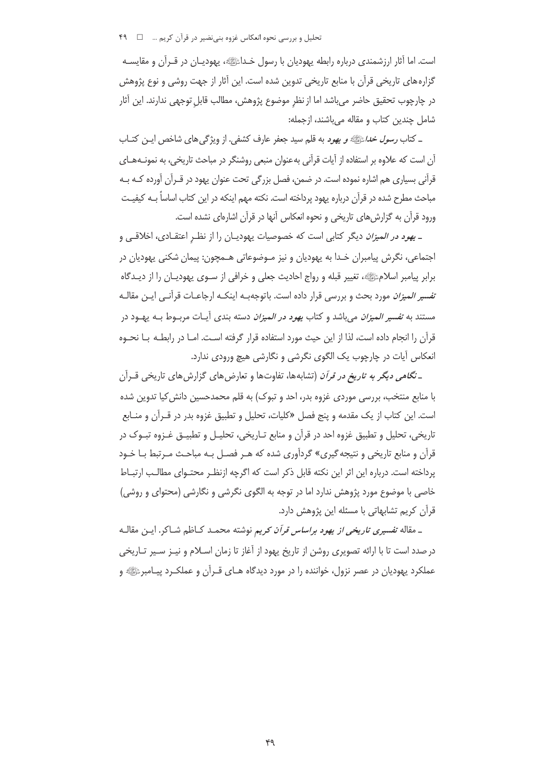تحلیل و بررسی نحوه انعکاس غزوه بنی نضیر در قرآن کریم ... □ F۹

است. اما آثار ارزشمندی درباره رابطه پهودیان با رسول خـداﷺ، پهودیـان در قـرآن و مقایسـه گزارههای تاریخی قرآن با منابع تاریخی تدوین شده است. این آثار از جهت روشی و نوع پژوهش در چارچوب تحقیق حاضر می باشد اما از نظر موضوع پژوهش، مطالب قابل توجهی ندارند. این آثار شامل چندین کتاب و مقاله میباشند، ازجمله:

\_ کتاب *رسول خدا*ءً!!!!» و یھود به قلم سید جعفر عارف کشفی. از ویژگی های شاخص ایــن کتــاب آن است که علاوه بر استفاده از آیات قرآنی بهعنوان منبعی روشنگر در مباحث تاریخی، به نمونـههـای قرآنی بسیاری هم اشاره نموده است. در ضمن، فصل بزرگی تحت عنوان یهود در قــرآن آورده کـه بـه مباحث مطرح شده در قرآن درباره یهود پرداخته است. نکته مهم اینکه در این کتاب اساساً بـه کیفیـت ورود قرآن به گزارش های تاریخی و نحوه انعکاس آنها در قرآن اشارهای نشده است.

ـ ی*هود در المیزان* دیگر کتابی است که خصوصیات یهودیـان را از نظـر اعتقـادی، اخلاقـی و اجتماعي، نگرش پيامبران خـدا به يهوديان و نيز مـوضوعاتي هـمچون: پيمان شكني يهوديان در برابر پیامبر اسلامﷺ، تغییر قبله و رواج احادیث جعلی و خرافی از سـوی یهودیـان را از دیـدگاه *تفسیر المیزان* مورد بحث و بررسی قرار داده است. باتوجهبـه اینکـه ارجاعـات قرأنـی ایــن مقالــه مستند به *تفسیر المیزان* میباشد و کتاب *یهود در المیزان* دسته بندی آیـات مربــوط بــه یهــود در قرآن را انجام داده است، لذا از این حیث مورد استفاده قرار گرفته اسـت. امـا در رابطـه بـا نحـوه انعکاس آیات در چارچوب یک الگوی نگرشی و نگارشی هیچ ورودی ندارد.

ـ نگامی دیگر به ت*اریخ در قرآن* (تشابهها، تفاوتها و تعارضهای گزارشهای تاریخی قــرأن با منابع منتخب، بررسی موردی غزوه بدر، احد و تبوک) به قلم محمدحسین دانش کیا تدوین شده است. این کتاب از یک مقدمه و پنج فصل «کلیات، تحلیل و تطبیق غزوه بدر در قـرآن و منـابع تاريخي، تحليل و تطبيق غزوه احد در قرآن و منابع تـاريخي، تحليـل و تطبيــق غــزوه تبــوک در قرآن و منابع تاری*خی* و نتیجه گیری» گردآوری شده که هـر فصـل بـه مباحـث مـرتبط بـا خـود پرداخته است. درباره این اثر این نکته قابل ذکر است که اگرچه ازنظر محتـوای مطالـب ارتبـاط خاصی با موضوع مورد پژوهش ندارد اما در توجه به الگوی نگرشی و نگارشی (محتوای و روشی) قرآن كريم تشابهاتى با مسئله اين پژوهش دارد.

ـ مقاله تفسیر*ی تاریخی از یهود براساس قرآن کریم* نوشته محمـد کـاظم شــاکر. ایــن مقالــه در صدد است تا با ارائه تصویری روشن از تاریخ یهود از آغاز تا زمان اسـلام و نیـز سـیر تـاریخی عملکرد یهودیان در عصر نزول، خواننده را در مورد دیدگاه هـای قـرآن و عملکـرد پیـامبرﷺ و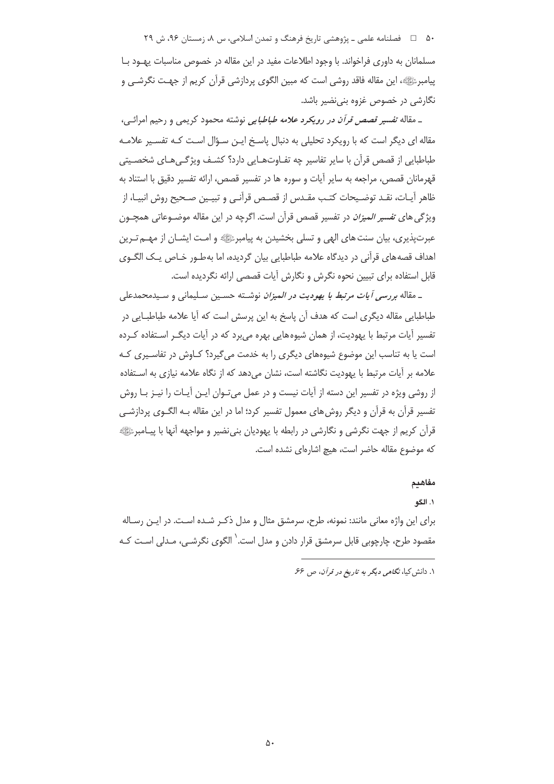۵۰٪ هـ المحلفامه علمي ــ پژوهشي تاريخ فرهنگ و تمدن اسلامي، س ۸، زمستان ۹۶، ش ۲۹

مسلمانان به داوری فراخواند. با وجود اطلاعات مفید در این مقاله در خصوص مناسبات پهـود بــا پیامبرﷺ، این مقاله فاقد روشی است که مبین الگوی پردازشی قرآن کریم از جهت نگرشـی و نگارشی در خصوص غزوه بنی نضیر باشد.

\_ مقاله ت*فسیر قصص قرآن در رویکرد علامه طباطبایی* نوشته محمود کریمی و رحیم امرائـی، مقاله ای دیگر است که با رویکرد تحلیلی به دنبال پاسخ ایـن سـؤال اسـت کـه تفسـیر علامـه طباطبایی از قصص قرآن با سایر تفاسیر چه تفـاوتهـایی دارد؟ کشـف ویژگـی۵ـای شخصـیتی قهرمانان قصص، مراجعه به سایر آیات و سوره ها در تفسیر قصص، ارائه تفسیر دقیق با استناد به ظاهر آيـات، نقـد توضـيحات كتـب مقـدس از قصـص قرآنـي و تبيـين صـحيح روش انبيـا، از ویژگی های ت*فسیر المیزان* در تفسیر قصص قرآن است. اگرچه در این مقاله موضـوعاتی همچـون عبرت یذیری، بیان سنت های الهی و تسلی بخشیدن به پیامبر ﷺ و امت ایشـان از مهـم تـرین اهداف قصههای قرآنی در دیدگاه علامه طباطبایی بیان گردیده، اما بهطـور خـاص یـک الگـوی قابل استفاده برای تبیین نحوه نگرش و نگارش آیات قصصی ارائه نگردیده است.

ـ مقاله بررسی آیات مرتبط با یهودیت در *المیزان* نوشته حسین سلیمانی و سیدمحمدعلی طباطبایی مقاله دیگری است که هدف آن پاسخ به این پرسش است که آیا علامه طباطبـایی در تفسیر آیات مرتبط با یهودیت، از همان شیوههایی بهره می برد که در آیات دیگـر اسـتفاده کـرده است یا به تناسب این موضوع شیوههای دیگری را به خدمت می گیرد؟ کـاوش در تفاسـیری کـه علامه بر آیات مرتبط با یهودیت نگاشته است، نشان می دهد که از نگاه علامه نیازی به اسـتفاده از روشی ویژه در تفسیر این دسته از آیات نیست و در عمل می تـوان ایـن آیـات را نیـز بـا روش تفسیر قرآن به قرآن و دیگر روش های معمول تفسیر کرد؛ اما در این مقاله بـه الگــوی پردازشــی قرآن کریم از جهت نگرشی و نگارشی در رابطه با یهودیان بنی نضیر و مواجهه آنها با پیــامبرﷺ كه موضوع مقاله حاضر است، هيچ اشارهاي نشده است.

#### مفاهيم

١. الگو

برای این واژه معانی مانند: نمونه، طرح، سرمشق مثال و مدل ذکـر شـده اسـت. در ایـن رسـاله مقصود طرح، چارچوبی قابل سرمشق قرار دادن و مدل است.<sup>\</sup> الگوی نگرشـی، مـدلی اسـت کـه

١. دانش کیا، نگامی دیگر به تاریخ در قرآن، ص ۶۶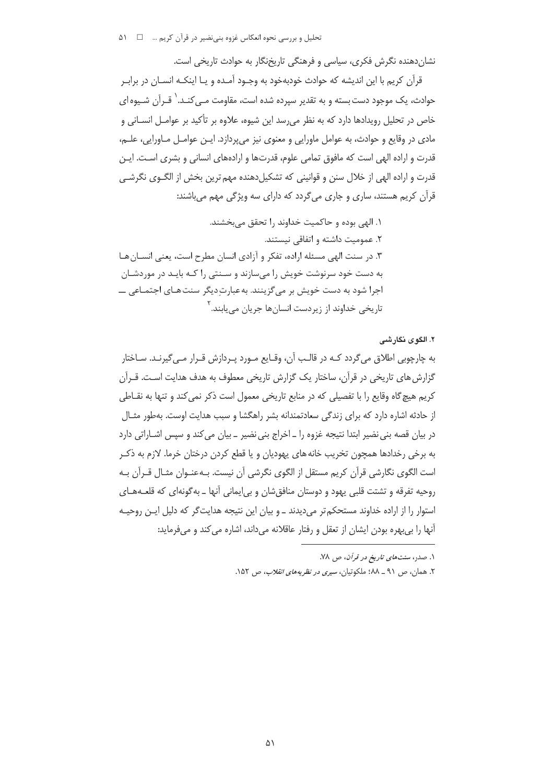تحلیل و بررسی نحوه انعکاس غزوه بنی نضیر در قرآن کریم … □ ۵۱

نشان دهنده نگرش فکری، سیاسی و فرهنگی تاریخنگار به حوادث تاریخی است.

قرآن کریم با این اندیشه که حوادث خودبهخود به وجـود آمـده و یـا اینکـه انسـان در برابـر حوادث، یک موجود دست بسته و به تقدیر سیرده شده است، مقاومت مــی *کنــد. ` قـر*آن شــیوه ای خاص در تحلیل رویدادها دارد که به نظر می رسد این شیوه، علاوه بر تأکید بر عوامـل انسـانی و مادي در وقايع و حوادث، به عوامل ماورايي و معنوي نيز مي پردازد. ايــن عوامــل مــاورايي، علــم، قدرت و اراده الهی است که مافوق تمامی علوم، قدرتها و ارادههای انسانی و بشری اسـت. ایـن قدرت و اراده الهی از خلال سنن و قوانینی که تشکیلدهنده مهم ترین بخش از الگــوی نگرشــی قرآن کریم هستند، ساری و جاری میگردد که دارای سه ویژگی مهم میباشند:

۱. الهي بوده و حاكميت خداوند را تحقق مي بخشند. ۲. عمومیت داشته و اتفاقی نیستند. ۳. در سنت الهی مسئله اراده، تفکر و آزادی انسان مطرح است، یعنی انسـان هـا به دست خود سرنوشت خویش را می سازند و سـنتی را کـه بایـد در موردشـان اجرا شود به دست خویش بر می گزینند. به عبارت دیگر سنت هـای اجتمـاعی ــــ تاريخي خداوند از زيردست انسانها جريان مي يابند. <sup>۲</sup>

٢. الگوى نگارشى

به چارچوبی اطلاق می گردد کـه در قالـب آن، وقـایع مـورد پـردازش قـرار مـی گیرنـد. سـاختار گزارش های تاریخی در قرآن، ساختار یک گزارش تاریخی معطوف به هدف هدایت اسـت. قــرآن کریم هیچ گاه وقایع را با تفصیلی که در منابع تاریخی معمول است ذکر نمی کند و تنها به نقــاطی از حادثه اشاره دارد که برای زندگی سعادتمندانه بشر راهگشا و سبب هدایت اوست. بهطور مثـال در بیان قصه بنی نضیر ابتدا نتیجه غزوه را ـ اخراج بنی نضیر ـ بیان می کند و سپس اشـاراتی دارد به برخی رخدادها همچون تخریب خانه های یهودیان و یا قطع کردن درختان خرما. لازم به ذکـر است الگوی نگارشی قرآن کریم مستقل از الگوی نگرشی آن نیست. بـهعنـوان مثـال قـرآن بـه روحیه تفرقه و تشتت قلبی یهود و دوستان منافقشان و بی|یمانی آنها ـ بهگونهای که قلعـههـای استوار را از اراده خداوند مستحکم تر می دیدند ـ و بیان این نتیجه هدایت گر که دلیل ایـن روحیـه آنها را بی بهره بودن ایشان از تعقل و رفتار عاقلانه می داند، اشاره می کند و می فرماید:

۱. صدر، سنت *های تاریخ در قرآن*، ص ۷۸.

۲. همان، ص ۹۱ ــ ۸۸؛ ملکوتیان، *سیری در نظریههای انقلاب*، ص ۱۵۲.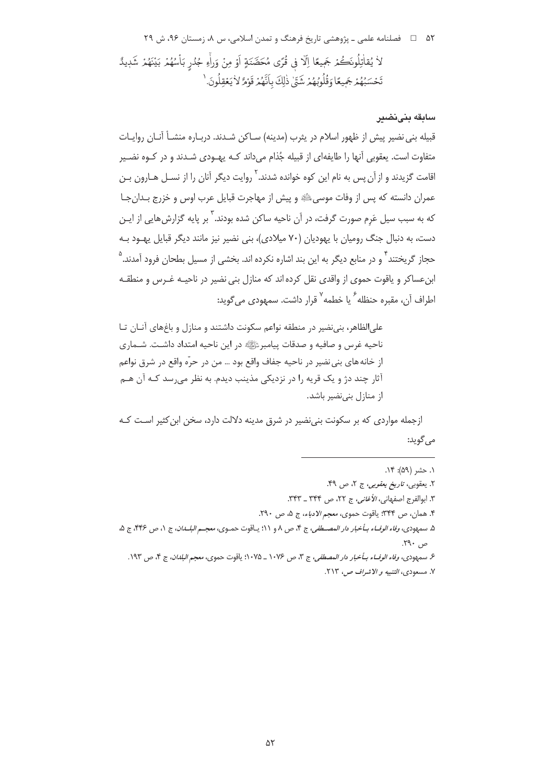۵۲٪ هـ استان ۹۶، ش ۲۹ سامي ـ پژوهشي تاريخ فرهنگ و تمدن اسلامي، س ۸، زمستان ۹۶، ش ۲۹ لاْ يُقاتِلُونَكُمْ جَمِيعًا اِلَّا فِي قُرًى مُحَصَّنَةٍ أَوْ مِنْ وَرَاءِ جُدُرٍ بَأْسُهُمْ بَيْنَهُمْ شَدِيدً تَحْسَبُهُمْ جَمِيعًا وَقُلُوبُهُمْ شَتَّىٰ ذٰلِكَ بِأَنَّهُمْ قَوْمٌ لاٰ يَعْقِلُونَ. '

### سابقه بنىنضير

قبيله بني نضير پيش از ظهور اسلام در پثرب (مدينه) سـاكن شـدند. دربـاره منشـأ آنـان روايـات متفاوت است. یعقوبی آنها را طایفهای از قبیله جُذام میداند کـه پهـودی شـدند و در کـوه نضـیر اقامت گزیدند و از آن پس به نام این کوه خوانده شدند.<sup>۲</sup> روایت دیگر آنان را از نسـل هـارون بـن عمران دانسته که پس از وفات موسیﷺ و پیش از مهاجرت قبایل عرب اوس و خزرج بـدانِجـا که به سبب سیل عَرم صورت گرفت، در آن ناحیه ساکن شده بودند.<sup>۳</sup> بر پایه گزارش هایی از ایـن دست، به دنبال جنگ رومیان با یهودیان (٧٠ میلادی)، بنی نضیر نیز مانند دیگر قبایل یهود بـه حجاز گریختند<sup>۲</sup> و در منابع دیگر به این بند اشاره نکرده اند. بخشی از مسیل بطحان فرود آمدند.<sup>۵</sup> ابن عساکر و یاقوت حموی از واقدی نقل کرده اند که منازل بنی نضیر در ناحیـه غـرس و منطقـه اطراف آن، مقبره حنظله<sup>۶</sup> یا خطمه<sup>۷</sup> قرار داشت. سمهودی می گوید:

علی الظاهر، بنی نضیر در منطقه نواعم سکونت داشتند و منازل و باغهای آنـان تـا ناحیه غرس و صافیه و صدقات پیامبرﷺ در این ناحیه امتداد داشـت. شـماری از خانه هاي بني نضير در ناحيه جفاف واقع بود … من در حرَّه واقع در شرق نواعم آثار چند دژ و یک قریه را در نزدیکی مذینب دیدم. به نظر می رسد کـه آن هــم از منازل بنى نضير باشد.

ازجمله مواردی که بر سکونت بنی نضیر در شرق مدینه دلالت دارد، سخن ابن کثیر اسـت کـه می گوید:

ع بسه ددي، وفاء الوفياء سأخبار دار المصطفى، ج ٣، ص ١٠٧۶ \_ ١٠٧۵: ياقوت جهوى، معجم البلدان، ج ۴، ص ١٩٣. ٧. مسعودي، التنبيه و الاشراف ص، ٢١٣.

١. حشر (۵۹): ١۴.

٢. يعقوبي، تاريخ يعقوبي، ج ٢، ص ۴۹.

٣. إبوالفرج إصفهاني، الأغاني، ج ٢٢، ص ٣٣٢ \_ ٣٣٣.

۴. همان، ص ۳۴۴؛ ياقوت حموي، معجم الادباء، ج ۵، ص ٢٩٠.

۵. سمهودي، *وفاء الوفــاء بـأخبار دار المصــطفي*، ج ۴، ص ۸ و ۱۱؛ يـاقوت حمـوي، *معجــم البلــدان*، ج ۱، ص ۴۴۶، ج ۵،  $\mathcal{M}$ ۰, ۴۹۰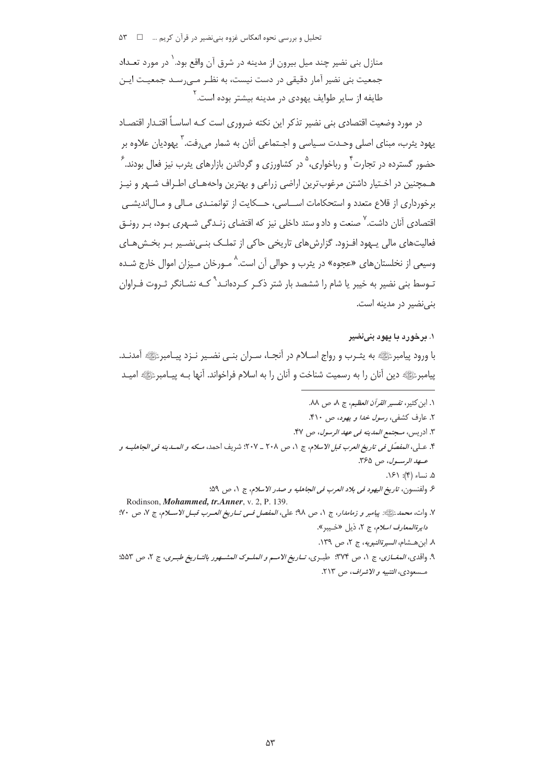منازل بنی نضیر چند میل بیرون از مدینه در شرق آن واقع بود.<sup>\</sup> در مورد تعـداد جمعیت بنی نضیر آمار دقیقی در دست نیست، به نظـر مـے،رسـد جمعیـت ایـن طایفه از سایر طوایف یهودی در مدینه بیشتر بوده است. <sup>۲</sup>

در مورد وضعیت اقتصادی بنی نضیر تذکر این نکته ضروری است کـه اساسـاً اقتـدار اقتصـاد يهود پثرب، مبناي اصلي وحـدت سـياسي و اجـتماعي آنان به شمار مي,رفت. <sup>٢</sup> يهوديان علاوه بر حضور گسترده در تجارت <sup>۴</sup> و رباخواری، <sup>۵</sup> در کشاورزی و گرداندن بازارهای پثرب نیز فعال بودند. <sup>۶</sup> هـمچنین در اخـتیار داشتن مرغوبِترین اراضی زراعی و بهترین واحههـای اطـراف شـهر و نیـز برخورداری از قلاع متعدد و استحکامات اســاسی، حــکایت از توانمنـدی مـالی و مـال|ندیشــی اقتصادی آنان داشت. ٌ صنعت و داد و ستد داخلی نیز که اقتضای زنـدگی شـهری بـود، بـر رونـق فعالیتھای مالی پیھود افـزود. گزارش ھای تاریخی حاکی از تملـک بنـی نضـیر بـر بخـش ھـای وسیعی از نخلستان های «عجوه» در پثرب و حوالی آن است.<sup>^</sup> مـورخان مـیزان اموال خارج شـده تـوسط بنی نضیر به خیبر یا شام را ششصد بار شتر ذکـر کـردهانـد<sup>۹</sup> کـه نشــانگر ثـروت فـراوان بنی نضیر در مدینه است.

#### ۱. برخورد با یهود بنینضیر

با ورود پیامبرﷺ به پثـرب و رواج اسـلام در أنجـا، سـران بنـي نضـير نـزد پيـامبرﷺ أمدنـد. پیامبرﷺ دین آنان را به رسمیت شناخت و آنان را به اسلام فراخواند. آنها بـه پیـامبرﷺ امیـد

١. ابن كثير، تفسير *القرآن العظيم*، ج ٨، ص ٨٨. ۲. عارف کشفی، *رسول خدا و یهود*، ص ۴۱۰. ٣. ادريس، *مـجتمع المدينه في عهد الرسول*، ص ۴۷. ۴. عـلي، المفصّل في تاريخ العرب قبل الاسلام، ج ١، ص ٢٠٨ \_ ٢٠٧: شريف احمد، مـكه و المسدينه في الجاهليـه و عهد الرسول، ص ٣۶۵. ۵. نساء (۴): ۱۶۱. ع ولفنسون، تاريخ اليهود في بلاد العرب في الجاهليه و صدر الاسلام، ج ١، ص ٥٩: Rodinson, Mohammed, tr.Anner, v. 2, P. 139. ٧. وات، محمد عليه: بيامبر و زم*امدار*، ج ١، ص ٩٨؛ على، *المفصل في تـاريخ العـرب قبـل الاسـلام*، ج ٧، ص ٧٠؛ د*ايرةالمعارف اسلام*، ج ٢، ذيل «خيبر». ٨. ابن هشام، *السيرةالنبويه*، ج ٢، ص ١٣٩. ۹. واقدي، المغبازي، ج ۱، ص ۳۷۴: طبيري، تساريغ الامسر و العلسوك العشسهور بالتساريغ طبيري، ج ۲، ص ۵۵۳؛ مسعودي، التنبيه و الاشراف، ص ٢١٣.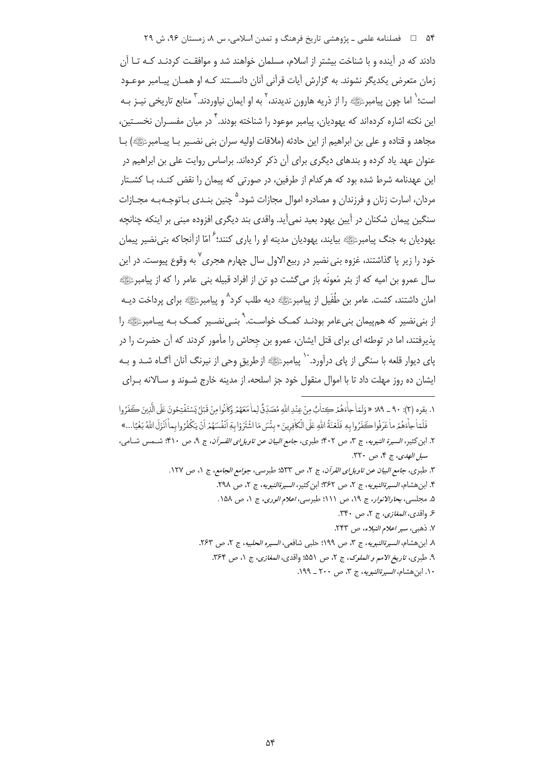۵۴  $\Box$  فصلنامه علمی ــ پژوهشی تاریخ فرهنگ و تمدن اسلامی، س ۸، زمستان ۹۶، ش ۲۹

دادند که در آینده و با شناخت بیشتر از اسلام، مسلمان خواهند شد و موافقـت کردنـد کـه تـا آن زمان متعرض یکدیگر نشوند. به گزارش آیات قرآنی آنان دانسـتند کـه او همـان پیـامبر موعـود است؛<sup>'</sup> اما چون پیامبرﷺ را از ذریه هارون ندیدند،<sup>۲</sup> به او ایمان نیاوردند.<sup>۳</sup> منابع تاریخی نیـز بـه این نکته اشاره کردهاند که یهودیان، پیامبر موعود را شناخته بودند.<sup>۴</sup> در میان مفسـران نخســتین، مجاهد و قتاده و علی بن ابراهیم از این حادثه (ملاقات اولیه سران بنی نضـیر بـا پیــامبرﷺ) بـا عنوان عهد یاد کرده و بندهای دیگری برای آن ذکر کردهاند. براساس روایت علی بن ابراهیم در 'ین عهدنامه شرط شده بود که هرکدام از طرفین، در صورتی که پیمان را نقض کنـد، بـا کشـتار مردان، اسارت زنان و فرزندان و مصادره اموال مجازات شود.<sup>۵</sup> چنین بنـدی بـاتوجـه بـه مجـازات سنگین پیمان شکنان در آیین یهود بعید نمیآید. واقدی بند دیگری افزوده مبنی بر اینکه چنانچه یهودیان به جنگ پیامبرﷺ بیایند، یهودیان مدینه او را یاری کنند؛ <sup>۶</sup> امّا ازآنجاکه بنینضیر پیمان خود را زیر پا گذاشتند، غزوه بن*ی ن*ضیر در ربیع الاول سال چهارم هجری<sup>۷</sup> به وقوع پیوست. در این سال عمرو بن اميه كه از بئر مَعونَه باز مي گشت دو تن از افراد قبيله بني عامر را كه از پيامبرﷺ 'مان داشتند، کشت. عامر بن طُفَيل از پيامبرﷺ ديه طلب کرد<sup>^</sup> و پيامبرﷺ براى پرداخت ديــه از بنے نضیر که هم پیمان بنے عامر بودنـد کمـک خواسـت.<sup>۹</sup> بنـے نضـیر کمـک بـه پیـامبرﷺ را پذیرفتند، اما در توطئه ای برای قتل ایشان، عمرو بن جحاش را مأمور کردند که آن حضرت را در پای دیوار قلعه با سنگی از پای درآورد.<sup>۱۰</sup> پیامبرﷺ ازطریقِ وحی از نیرنگ آنان آگـاه شـد و بـه 'یشان ده روز مهلت داد تا با اموال منقول خود جز اسلحه، از مدینه خارج شـوند و سـالانه بــرای

٠. بقره (٢): ٩٠ ـ ٩٩: «وَلَمّاْ جاَءَهُمْ كِتابٌ مِنْ عِنْدِ اللّهِ مُصَدِّقٌ لِما مَعَهُمْ وَكانُوا مِنْ قَبْلُ يَسْتَفْتِحُونَ عَلَى الَّذِينَ كَفَرُوا  $\ddot{\phantom{0}}$ 7<br>|<br>| 1 i - $\frac{1}{2}$ 1 D ļ D : فَلَمَا جاَءهُمْ ماٰ عَرَفُوا كَفَرُوا بِهٖ فَلَعْنَةُ اللّٰهِ عَلَى الْكافِرِينَ \* بِئْسَ مَا اشْتَرَوْا بِمَ أَنْفُسَهُمْ أَنْ يَكْفُرُوا بِماْ أَنْزَلَ اللّٰهُ بَغْيًا...» i l 1  $\ddot{\phantom{0}}$ 7<br>|<br>| D í D ļ D )<br>1 )<br>İ D @ í : K @ í ֢֢֦֦ׅ֪֪ׅ֪֪ׅ֚֚֚֚֚֚֚֚֚֚֚֚֚֬֡֡֡֓֡֡֡֡֡֜֓֡֡֓֡֡֡ ֧֦֧֧֦֧֢ׅ֦֧ׅ֦֧ׅ֦֧ׅ֧֧ׅ֧ׅ֧ׅ֧֚֚֚֚֚֚֚֚֚֚֚֚֚֚֚֚֚֝֝֓֜֡֓֡֞֡֜֓֡֡֡֓֞֡֜֓֜֜֜֜֓֞  $\frac{1}{1}$ l @ í  $\ddot{\phantom{a}}$ ;<br>| ۲. ابن کثیر، *السیرة النبویه*، ج ۳، ص ۴۰۲؛ طبری، *جامع البیان عن تاویل!ی القـرآن*، ج ۹، ص ۴۱۰؛ شــمس شــامی، سب*ل الهدى*، ج ۴، ص ٣٢٠. ٣. طبرى، *جامع البيان عن تاويل!ى القرآن*، ج ٢، ص ٥٣٣؛ طبرىسى، *جوامع الجامع*، ج ١، ص ١٢٧. ۴. ابن هشام*، السيرةالنبويه*، ج ۲، ص ۳۶۲: ابن كثير، *السيرةالنبويه*، ج ۲، ص ۲۹۸. ۵. مجلسی، *بحارالانوار*، ج ۱۹، ص ۱۱۱؛ طبرسی، *اعلام الوری*، ج ۱، ص ۱۵۸. ۶. واقد*ى، المغازى*، ج ۲، ص ۳۴۰. ۷. ذهبی، *سیر اعلام النبلاء*، ص ۲۴۳. ۸. ابن@شام، *السيرةالنبويه*، ج ۳، ص ۱۹۹؟ حلبي شافعي، *السيره الحلبيه*، ج ۲، ص ۲۶۳. ۹. طبری، *تاریخ الامم و الملوک*، ج ۲، ص ۵۵۱؛ واقدی*، المغازی*، ج ۱، ص ۳۶۴. ۰۱. ابن هشام*، السيرةالنبويه*، ج ۳، ص ۲۰۰ ـ ۱۹۹.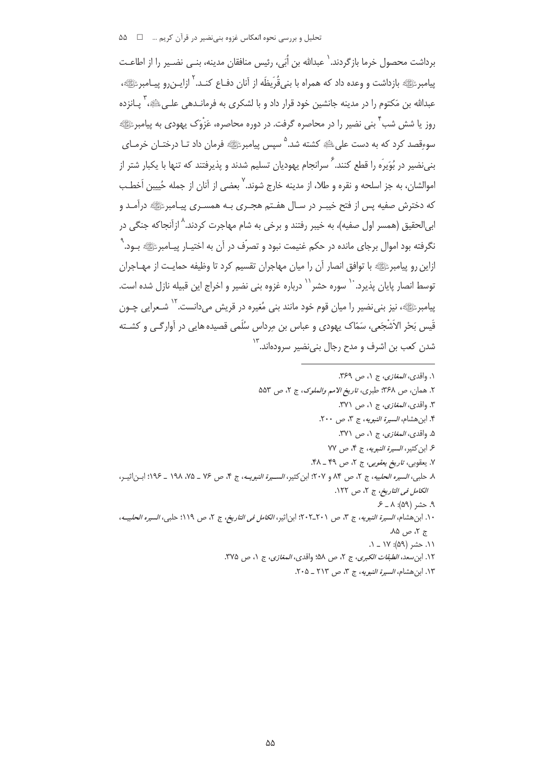برداشت محصول خرما بازگردند.` عبدالله بن اُبَي، رئيس منافقان مدينه، بنـي نضـير را از اطاعـت يبامبرءَالِيَّةِ بإزداشت و وعده داد كه همراه با بني قُرِيظَه از آنان دفـاع كنـد. `` ازابن رو پيـامبرءَالِيَّة، عبدالله بن مَکتوم را در مدینه جانشین خود قرار داد و با لشکری به فرمانـدهی علـیﷺ، ٌ پـانزده روز یا شش شب ٔ بنی نضیر را در محاصره گرفت. در دوره محاصره، عَزْوَک پهودی به پیامبرﷺ سوءِقصد کرد که به دست علیﷺ کشته شد.<sup>۵</sup> سیس پیامبرﷺ فرمان داد تـا درختـان خرمـای بنی نضیر در بُوَیر<sup>َ</sup>ه را قطع کنند. <sup>۶</sup> سرانجام یهودیان تسلیم شدند و پذیرفتند که تنها با یکبار شتر از اموالشان، به جز اسلحه و نقره و طلا، از مدینه خارج شوند.<sup>۷</sup> بعضی از آنان از جمله حُیین اَخطـب که دخترش صفیه پس از فتح خیب ردر سـال هفـتم هجـری بـه همسـری پیـامبرﷺ درآمـد و ابي|لحقيق (همسر اول صفيه)، به خيبر رفتند و برخي به شام مهاجرت كردند.^ ازآنجاكه جنگي در نگرفته بود اموال برجای مانده در حکم غنیمت نبود و تصرّف در آن به اختیـار پیـامبرﷺ بـود. ْ ازاین رو پیامبرﷺ با توافق انصار آن را میان مهاجران تقسیم کرد تا وظیفه حمایـت از مهــاجران توسط انصار پایان پذیرد. `` سوره حشر``` درباره غزوه بنی نضیر و اخراج این قبیله نازل شده است. پيامبرﷺ، نيز بني نضير را ميان قوم خود مانند بني مُغيره در قريش مي دانست. <sup>١٢</sup> شـعرايي چـون قَیس بَحْرِ الاَشْجَعی، سَمّاک پھودی و عباس بن مرداس سُلَمی قصیده هایی در آوارگـی و کشــته شدن کعب بن اشرف و مدح رجال بنی نضیر سرودهاند.<sup>۱۳</sup>

١. واقدى، *المغازى*، ج ١، ص ٣۶٩. ٢. همان، ص ٣۶٨؛ طبري، ت*اريخ الامم والملوک*، ج ٢، ص ۵۵۳ ٣. واقدى، *المغازى*، ج ١، ص ٣٧١. ۴. ابن هشام، *السيرة النبويه*، ج ۳، ص ۲۰۰. ۵. واقدي، *المغازي، ج* ۱، ص ۳۷۱. ۶. ابن كثير، *السيرة النبويه*، ج ۴، ص ٧٧ ٧. يعقوبي، ت*اريخ يعقوبي*، ج ٢، ص ۴۹ ـ ۴۸. ٨. حلبي، السيره الحلبيه، ج ٢، ص ٨۴ و ٢٠٧؛ ابن كثير، السيرة النبويــه، ج ۴، ص ٧٤ \_ ٧٥، ١٩٨ \_ ١٩٩؛ ابـن اثيـر، الكامل فى التاريخ، ج ٢، ص ١٢٢.  $P = \Lambda : (\Delta \mathfrak{q})$ . حشر (۵۹): ۸ ١٠. ابن هشام، *السيرة النبويه*، ج ٣، ص ٢٠١-٢٠٢؛ ابن اثير، *الكامل في التاريخ*، ج ٢، ص ١١٩؛ حلبي، *السيره الحلبيـه*، ج ۲، ص ۸۵. ١١. حشر (۵۹): ١٧ \_ ١. ١٢. ابن سعد، *الطبقات الكبرى*، ج ٢، ص ۵۸؛ واقدى، *المغازى*، ج ١، ص ٣٧۵. ١٣. ابن هشام، *السيرة النبويه*، ج ٣، ص ٢١٣ ـ ٢٠۵.

 $\Delta\Delta$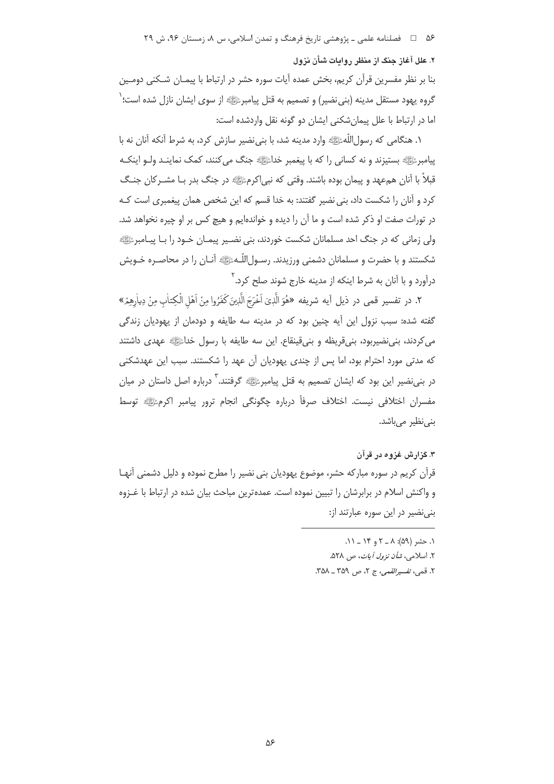۵۶ = فصلنامه علمي ـ پژوهشي تاريخ فرهنگ و تمدن اسلامي، س ٨، زمستان ۹۶، ش ۲۹

۲. علل آغاز جنگ از منظر روایات شأن نزول

بنا بر نظر مفسرین قرآن کریم، بخش عمده آیات سوره حشر در ارتباط با پیمـان شـکنی دومـین گروه یهود مستقل مدینه (بنی نضیر) و تصمیم به قتل پیامبرﷺ از سوی ایشان نازل شده است؛ ٰ اما در ارتباط با علل پیمانشکنی ایشان دو گونه نقل واردشده است:

١. هنگامي كه رسول|للّهﷺ وارد مدينه شد، با بني نضير سازش كرد، به شرط آنكه آنان نه با پيامبرﷺ بستيزند و نه کساني را که با پيغمبر خداﷺ جنگ مي کنند، کمک نماينـد ولـو اينکـه قبلاً با آنان همءهد و پیمان بوده باشند. وقتی که نبی|کرمﷺ در جنگ بدر بـا مشــرکان جنـگ کرد و آنان را شکست داد، بنی نضیر گفتند: به خدا قسم که این شخص همان پیغمبری است کـه در تورات صفت او ذکر شده است و ما آن را دیده و خواندهایم و هیچ کس بر او چیره نخواهد شد. ولی زمانی که در جنگ احد مسلمانان شکست خوردند، بنی نضـیر پیمـان خـود را بـا پیـامبرﷺ شکستند و با حضرت و مسلمانان دشمنی ورزیدند. رسـولِاللّـهﷺ أنـان را در محاصـره خـویش درآورد و با آنان به شرط اینکه از مدینه خارج شوند صلح کرد.<sup>۲</sup>

٢. در تفسير قمي در ذيل أيه شريفه «هُوَ الَّذِيَ اَخْرَجَ الَّذِينَ كَفَرُوا مِنْ اَهْلِ الْكِتاٰبِ مِنْ دِياْرِهِمْ» گفته شده: سبب نزول این آیه چنین بود که در مدینه سه طایفه و دودمان از یهودیان زندگی مي كردند، بني نضيربود، بني قريظه و بني قينقاع. اين سه طايفه با رسول خداءًﷺ عهدى داشتند که مدتی مورد احترام بود، اما پس از چندی یهودیان آن عهد را شکستند. سبب این عهدشکنی در بنی نضیر این بود که ایشان تصمیم به قتل پیامبرﷺ گرفتند. ۖ درباره اصل داستان در میان مفسران اختلافی نیست. اختلاف صرفأ درباره چگونگی انجام ترور پیامبر اکرمﷺ توسط بنى نظير مى باشد.

۳. گزارش غزوه در قرآن

قرآن کریم در سوره مبارکه حشر، موضوع یهودیان بنی نضیر را مطرح نموده و دلیل دشمنی آنهـا و واکنش اسلام در برابرشان را تبیین نموده است. عمدهترین مباحث بیان شده در ارتباط با غــزوه بنی نضیر در این سوره عبارتند از:

- $\Lambda$ . حشر (۵۹):  $\Lambda = \Upsilon$  و ۱۴ ۱۱.
- ۲. اسلامی، *شأن نزول آیات، ص ۵۲۸.*

٢. قمي، تفسير القمي، ج ٢، ص ٣٥٩ ـ ٣٥٨.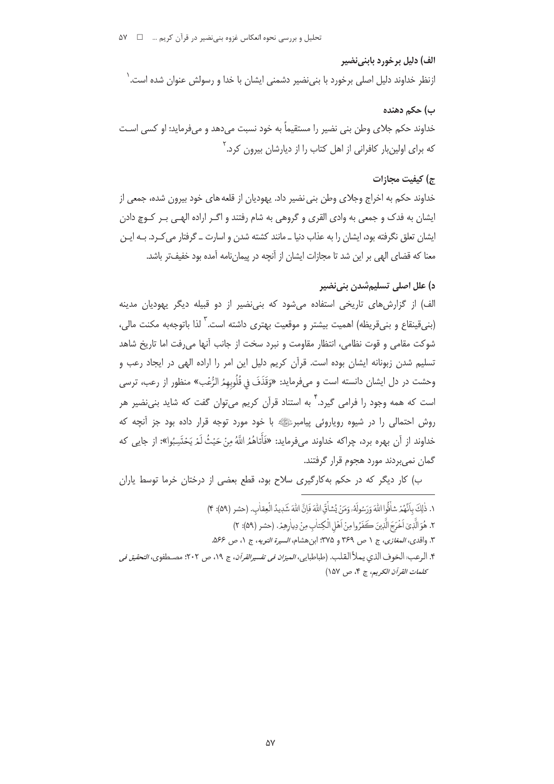## الف) دليل برخورد بابني نضير

ازنظر خداوند دلیل اصلی برخورد با بنی،نضیر دشمنی ایشان با خدا و رسولش عنوان شده است. ٰ

## ب) حکم دهنده

خداوند حکم جلای وطن بنی نضیر را مستقیماً به خود نسبت میدهد و میفرماید: او کسی اسـت که برای اولینبار کافرانی از اهل کتاب را از دیارشان بیرون کرد.<sup>۲</sup>

# ج) كيفت محازات

خداوند حکم به اخراج وجلای وطن بنی نضیر داد. یهودیان از قلعه های خود بیرون شده، جمعی از ایشان به فدک و جمعی به وادی القری و گروهی به شام رفتند و اگـر اراده الهـی بـر کـوچ دادن ایشان تعلق نگرفته بود، ایشان را به عذاب دنیا ــ مانند کشته شدن و اسارت ــ گرفتار می کـرد. بــه ایــن معنا كه قضاى الهى بر اين شد تا مجازات ايشان از آنچه در پيمان نامه آمده بود خفيفتر باشد.

# د) علل اصلي تسليمِشدن بني نضير

الف) از گزارش های تاریخی استفاده می شود که بنی نضیر از دو قبیله دیگر یهودیان مدینه (بنیقینقاع و بنیقریظه) اهمیت بیشتر و موقعیت بهتری داشته است. ٌ لذا باتوجهبه مکنت مالی، شوكت مقامي و قوت نظامي، انتظار مقاومت و نبرد سخت از جانب آنها مي رفت اما تاريخ شاهد تسلیم شدن زبونانه ایشان بوده است. قرآن کریم دلیل این امر را اراده الهی در ایجاد رعب و وحشت در دل ايشان دانسته است و ميفرمايد: «وَقَذَفَ في قُلُوبِهِمُ الرُّعْبِ» منظور از رعب، ترسى است که همه وجود را فرامی گیرد.<sup>۲</sup> به استناد قرآن کری<sub>ه</sub> می توان گفت که شاید بن*ی ن*ضیر هر روش احتمالي را در شيوه روپاروئي پيامبرﷺ با خود مورد توجه قرار داده بود جز آنچه كه خداوند از آن بهره برد، چراکه خداوند میفرماید: «فَأَتَاهُمُ اللَّهُ مِنْ حَيْثُ لَمْ يَحْتَسِبُوا»: از جايي که گمان نمی بردند مورد هجوم قرار گرفتند.

ب) کار دیگر که در حکم بهکارگیری سلاح بود، قطع بعضی از درختان خرما توسط یاران

- ١. ذٰلِكَ بِأَنَّهُمْ شَأَقُّوا اللَّهَ وَرَسُولَهُۥ وَمَنْ يُشَأَقّ اللَّهَ فَانَّ اللَّهَ شَدِيدُ الْعقاٰبِ. (حشر (٥٩): ۴)
	- ٢. هُوَ الَّذِيّ اَخْرَجَ الَّذِينَ كَفَرُوا مِنْ اَهْلِ الْكِتابِ مِنْ دِياْرِهِمْ. (حشر (٥٩): ٢)
- ٣. واقدى، *المغازى*، ج ١ ص ٣۶٩ و ٣٧۵: ابن هشام، *السيرة النويه*، ج ١، ص ٥۶۶.
- ۴. الرعب: الخوف الذي يملأ القلب. (طباطبايي، *الميزان في تفسيرالقرآن*، ج ١٩، ص ٢٠٢: مصـطفوي، *التحقيق في* كلمات القرآن الكريم، ج ۴، ص ١۵٧)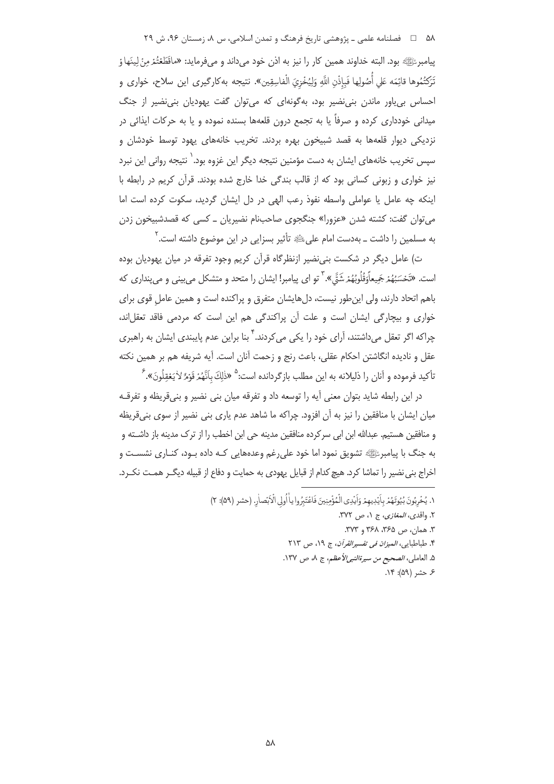## ۵۸ □ فصلنامه علمي ـ پژوهشي تاريخ فرهنگ و تمدن اسلامي، س ۸، زمستان ۹۶، ش ۲۹

پيامبرﷺ بود. البته خداوند همين كار را نيز به اذن خود مي داند و مي فرمايد: «ماقَطَعْتُمْ مِنْ لِينَها وُ تَرَكْتُمُوها قائِمَه عَلى أَصُولِها فَبِإِذْنِ اللَّهِ وَلِيُخْزِيَ الْفاسِقِينِ». نتيجه بهكارگيري اين سلاح، خواري و احساس بی یاور ماندن بنی نضیر بود، به گونهای که می توان گفت یهودیان بنی نضیر از جنگ میدانی خودداری کرده و صرفاً یا به تجمع درون قلعهها بسنده نموده و یا به حرکات ایذائی در نزدیکی دیوار قلعهها به قصد شبیخون بهره بردند. تخریب خانههای یهود توسط خودشان و سپس تخریب خانههای ایشان به دست مؤمنین نتیجه دیگر این غزوه بود. ٰ نتیجه روانی این نبرد نیز خواری و زبونی کسانی بود که از قالب بندگی خدا خارج شده بودند. قرآن کریم در رابطه با اینکه چه عامل یا عواملی واسطه نفوذ رعب الهی در دل ایشان گردید، سکوت کرده است اما می توان گفت: کشته شدن «عزورا» جنگجوی صاحبنام نضیریان \_ کسی که قصدشبیخون زدن به مسلمین را داشت \_ بهدست امام علیﷺ تأثیر بسزایی در این موضوع داشته است. ``

ت) عامل دیگر در شکست بنی نضیر ازنظرگاه قرآن کریم وجود تفرقه در میان پهودیان بوده است. «تَحْسَبُهُمْ جَمِعاًوَقُلُوبُهُمْ شَمَّّ ». ٌ تو اي پيامبر! ايشان را متحد و متشكل مي بيني و مي ينداري كه باهم اتحاد دارند، ولی این طور نیست، دلهایشان متفرق و پراکنده است و همین عامل قوی برای خواری و بیچارگی ایشان است و علت آن پراکندگی هم این است که مردمی فاقد تعقلاند، چراکه اگر تعقل می،داشتند، آرای خود را یکی میکردند. <sup>۲</sup> بنا براین عدم پایبندی ایشان به راهبری عقل و ناديده انگاشتن احكام عقلي، باعث رنج و زحمت آنان است. آيه شريفه هم بر همين نكته تأكيد فرموده و آنان را ذليلانه به اين مطلب بازگردانده است:<sup>۵</sup> «ذٰلِكَ بِأَنَّهُمْ قَوْمٌ لأَيَعْقِلُونَ».<sup>۶</sup>

در این رابطه شاید بتوان معنی آیه را توسعه داد و تفرقه میان بنی نضیر و بنی قریظه و تفرقـه میان ایشان با منافقین را نیز به آن افزود. چراکه ما شاهد عدم پاری بنی نضیر از سوی بنی قریظه و منافقين هستيم. عبدالله ابن ابي سركرده منافقين مدينه حي ابن اخطب را از ترک مدينه باز داشــته و به جنگ با پیامبرﷺ تشویق نمود اما خود علی رغم وعدههایی کـه داده بـود، کنـاری نشسـت و اخراج بنی نضیر را تماشا کرد. هیچ کدام از قبایل یهودی به حمایت و دفاع از قبیله دیگـر همـت نکـرد.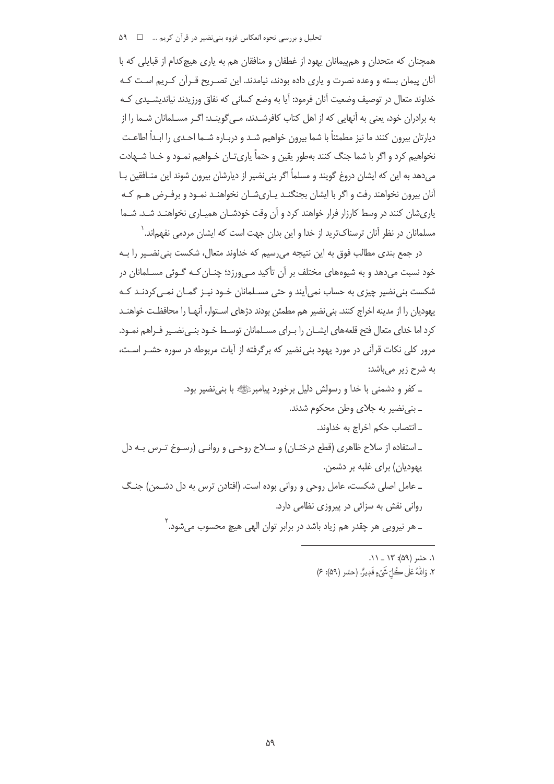تحلیل و بررسی نحوه انعکاس غزوه بنی نضیر در قرآن کریم … ۵۹ ۵۹

همچنان که متحدان و هم پیمانان یهود از غطفان و منافقان هم به پاری هیچ کدام از قبایلی که با آنان پیمان بسته و وعده نصرت و پاری داده بودند، نیامدند. این تصـریح قـرآن کـریم اسـت کـه خداوند متعال در توصيف وضعيت آنان فرمود: آيا به وضع كساني كه نفاق ورزيدند نيانديشـيدي كـه به برادران خود، یعنی به آنهایی که از اهل کتاب کافرشـدند، مـی¢وینـد: اگـر مسـلمانان شـما را از دیارتان بیرون کنند ما نیز مطمئناً با شما بیرون خواهیم شـد و دربـاره شـما احـدی را ابـداً اطاعـت نخواهیم کرد و اگر با شما جنگ کنند بهطور یقین و حتماً پاری تـان خـواهیم نمـود و خـدا شـهادت می دهد به این که ایشان دروغ گویند و مسلماً اگر بنی نضیر از دیارشان بیرون شوند این منـافقین بـا آنان بیرون نخواهند رفت و اگر با ایشان بجنگنـد پـاریشـان نخواهنـد نمـود و برفـرض هـم کـه یاریشان کنند در وسط کارزار فرار خواهند کرد و آن وقت خودشـان همیـاری نخواهنـد شـد. شـما مسلمانان در نظر آنان ترسناکترید از خدا و این بدان جهت است که ایشان مردمی نفهماند.`

در جمع بندی مطالب فوق به این نتیجه می٫رسیم که خداوند متعال، شکست بنی،نضیر را بـه خود نسبت می دهد و به شیوههای مختلف بر آن تأکید مـه ورزد؛ چنـان کـه گـوئی مسـلمانان در شکست بنے،نضیر چیزی به حساب نمی آیند و حتی مسـلمانان خـود نیـز گمـان نمـی کردنـد کـه یهودیان را از مدینه اخراج کنند. بنی نضیر هم مطمئن بودند دژهای اسـتوار، آنهـا را محافظـت خواهنــد کرد اما خدای متعال فتح قلعههای ایشــان را بـرای مســلمانان توسـط خـود بنــی نضــیر فـراهم نمــود. مرور کلی نکات قرآنی در مورد یهود بنی نضیر که برگرفته از آیات مربوطه در سوره حشـر اسـت، به شرح زیر میباشد:

۔ کفر و دشمنی با خدا و رسولش دلیل برخورد پیامبرﷺ با بنے نضیر بود. ـ بني نضير به جلاي وطن محكوم شدند. ـ انتصاب حكم اخراج به خداوند. ـ استفاده از سلاح ظاهري (قطع درختـان) و سـلاح روحـي و روانـي (رسـوخ تـرس بـه دل یهودیان) برای غلبه بر دشمن. ـ عامل اصلي شكست، عامل روحي و رواني بوده است. (افتادن ترس به دل دشـمن) جنـگ رواني نقش به سزائي در پيروزي نظامي دارد. ــ هر نيرويي هر چقدر هم زياد باشد در برابر توان الهي هيچ محسوب مي.شود.<sup>۲</sup>

> ١. حشر (۵۹): ١٣ \_ ١١. ٢. وَاللَّهُ عَلَى كُلِّ شَيْءٍ قَدِيرٌ. (حشر (٥٩): ٤)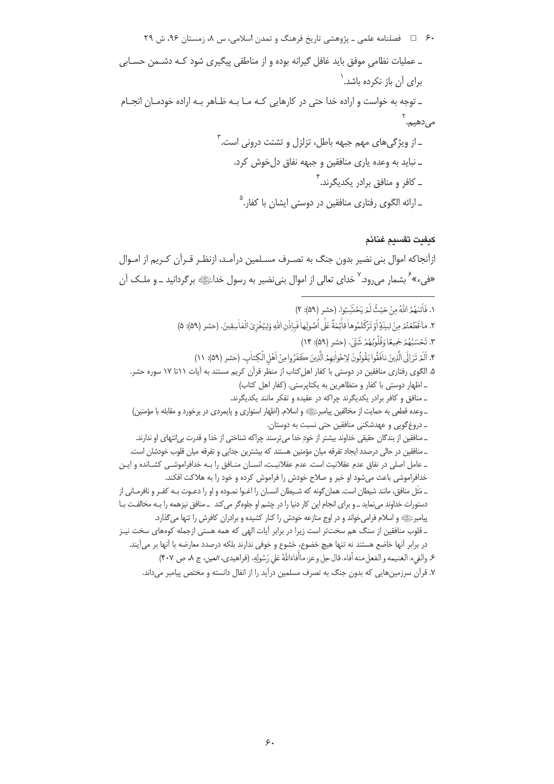#### كىفىت تقسىم غنائم

ازآنجاکه اموال بنی نضیر بدون جنگ به تصـرف مسـلمین درآمـد، ازنظـر قـرآن کـریم از امـوال «فيء» گربشمار مي رود. لا خداي تعالى از اموال بني نضير به رسول خدائليه برگردانيد ــ و ملــک آن

```
١. فَأَتَنْهُمُ اللَّهُ مِنْ حَيْثُ لَمْرِ يَحْتَسِبُوا. (حشر (٥٩): ٢)
                     ٢. ماقَطَعْتُمْ مِنْ لِينَةٍ أَوْ تَرَكْتُمُوهاْ قالِّمَةً عَلَّى أُصُولِهاٰ فَباذْنِ اللَّهِ وَلِيُخْزِيَ الْفاٰسِقِينَ. (حشر (٥٩): ۵)
                                                                  ٣. تَحْسَبُهُمْ جَمِيعًا وَقُلُوبُهُمْ شَيِّ. (حشر (٥٩): ١۴)
                           ۴. اَلَمْ تَرَ إِلَى الَّذِينَ نافَقُوا يَقُولُونَ لِإِحْواٰنِهِمُ الَّذِينَ كَفَرُوا مِنْ اَهْلِ الْكِتاب. (حشر (۵۹): ١١)
    ۵. الگوی رفتاری منافقین در دوستی با کفار اهل کتاب از منظر قرآن کریم مستند به آیات ۱۱تا ۱۷ سوره حشر.
                                           ـ اظهار دوستی با کفار و متظاهرین به یکتاپرستی. (کفار اهل کتاب)
                                        _ منافق و کافر برادر یکدیگرند چراکه در عقیده و تفکر مانند یکدیگرند.
    ـ وعده قطعي به حمايت از مخالفين پيامبرﷺ و اسلام. (اظهار استواري و پايمردي در برخورد و مقابله با مؤمنين)
                                                      ۔ دروغ گويي و عهدشكني منافقين حتى نسبت به دوستان.
      ـ منافقين از بندگان حقيقي خداوند بيشتر از خودِ خدا ميترسند چراكه شناختي از خدا و قدرت بي|نتهاي او ندارند.
    _ منافقين در حالي درصدد ايجاد تفرقه ميان مؤمنين هستند كه بيشترين جدايي و تفرقه ميان قلوب خودشان است.
ـ عامل اصلی در نفاق عدم عقلانیت است. عدم عقلانیـت، انســان منــافق را بــه خدافراموشــی کشــانده و ایــن
                خدافراموشی باعث میشود او خیر و صلاح خودش را فراموش کرده و خود را به هلاکت افکند.
ــ مَثَل منافق، مانند شیطان است. همان گونه که شـيطان انســان را اغــوا نمــوده و او را دعــوت بــه کفــر و نافرمــاني از
دستورات خداوند می نماید ــ و برای انجام این کار دنیا را در چشم او جلوه گر می کند ــ منافق نیزهمه را بـه مخالفـت بـا
             پیامبرﷺ و اسلام فرامی خواند و در اوج منازعه خودش را کنار کشیده و برادران کافرش را تنها میگذارد.
ـ قلوب منافقین از سنگ هم سختتر است زیرا در برابر آیات الهی که همه هستی ازجمله کوههای سخت نیـز
   در برابر آنها خاضع هستند نه تنها هيچ خضوع، خشوع و خوفي ندارند بلكه درصدد معارضه با آنها بر مي آيند.
              ۶. والغيء: الغنيمه و الفعل منه أفاء، قال جل و عز: ماأُفاءَاللَّهُ عَلى رَسُولِهِ. (فراهيدي، العين، ج ٨، ص ۴۰۷)
        ۷. قرآن سرزمینهایی که بدون جنگ به تصرف مسلمین درآید را از انفال دانسته و مختص پیامبر میداند.
```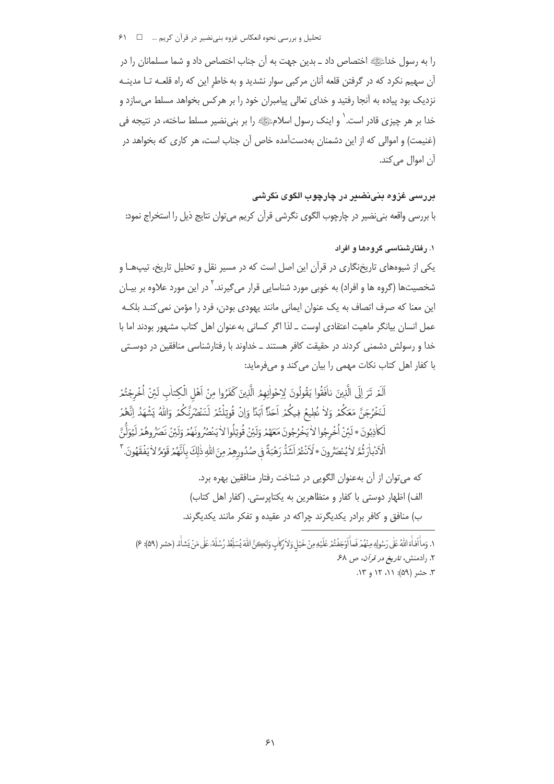تحلیل و بررسی نحوه انعکاس غزوه بنی نضیر در قرآن کریم ... □ 81

را به رسول خداءًا الله اختصاص داد ـ بدین جهت به آن جناب اختصاص داد و شما مسلمانان را در آن سهیم نکرد که در گرفتن قلعه آنان مرکبی سوار نشدید و به خاطر این که راه قلعـه تـا مدینـه نزدیک بود پیاده به آنجا رفتید و خدای تعالی پیامبران خود را بر هرکس بخواهد مسلط می سازد و خدا بر هر چیزی قادر است. ٰ و اینک رسول اسلامﷺ را بر بنی نضیر مسلط ساخته، در نتیجه فی (غنیمت) و اموالی که از این دشمنان بهدستآمده خاص آن جناب است، هر کاری که بخواهد در آن اموال می کند.

بررسی غزوہ بنے،نضس در چارچوب الگوی نگرشی با بررسي واقعه بني نضير در چارچوب الگوي نگرشي قرآن كريم مي توان نتايج ذيل را استخراج نمود:

۱. رفتار شناسی گروهها و افراد

یکی از شیوههای تاریخنگاری در قرآن این اصل است که در مسیر نقل و تحلیل تاریخ، تیپها و شخصیتها (گروه ها و افراد) به خوبی مورد شناسایی قرار می $^2$ یرند.<sup>۲</sup> در این مورد علاوه بر بیـان این معنا که صرف اتصاف به یک عنوان ایمانی مانند یهودی بودن، فرد را مؤمن نمی کنـد بلکـه عمل انسان بیانگر ماهیت اعتقادی اوست ــ لذا اگر کسانی به عنوان اهل کتاب مشهور بودند اما با خدا و رسولش دشمنی کردند در حقیقت کافر هستند ــ خداوند با رفتارشناسی منافقین در دوسـتی با کفار اهل کتاب نکات مهمی را بیان می کند و میفرماید:

ٱلَمْ تَرَ إِلَى الَّذِينَ نافَقُوا يَقُولُونَ لِإِخْواٰنِهِمُ الَّذِينَ كَفَرُوا مِنْ آهَلِ الْكِتابِ لَئنْ أُخْرِجْتُمْ لَنَخْرُجَنَّ مَعَكُمْ وَلاٰ نُطِيعُ فِيكُمْ اَحَلَّا اَبَدَّا وَإِنْ قُوتِلْتُمْ لَنَنْصُرِّنَّكُمْ وَاللهُ يَشْهَدُ إنَّهُمْ لَكَاذِبُونَ \* لَئِنْ اُخْرِجُوا لاٰ يَخْرُجُونَ مَعَهُمْ وَلَئِنْ قُوتِلُوا لاٰ يَنْصُرُ ونَهُمْ وَلَئِنْ نَصَرُوهُمْ لَيُوَلَّنَّ الْكَبْارَتُمَّ لاٰ يُنْصَرُونَ \*لَاَنْتُمْ اَشَدُّ رَهْبَةً في صُدُورِهِمْ مِنَ اللّهِ ذٰلِكَ بِاَنّهُمْ قَوْمً لاٰ يَفْقَهُونَ. "

> كه مي توان از آن بهعنوان الگويي در شناخت رفتار منافقين بهره برد. الف) اظهار دوستی با کفار و متظاهرین به یکتاپرستی. (کفار اهل کتاب) ب) منافق و کافر برادر یکدیگرند چراکه در عقیده و تفکر مانند یکدیگرند.

١. وَمِأَافَأَةِ اللَّهُ عَلَى رَسُولِهِ مِنْهُمْ فَمَأَاوَجَفْتُمْ عَلَيْهِ مِنْ خَيْلِ وَلاٰرِكَابِ وَلِكِنَّ اللَّهَ يُسَلِّطُ رُسُلَهُ عَلَى مَنْ يَشَأْءُ. (حشر (٥٩): ع) ۲. رادمنش، *تاریخ در قرآن*، ص ۶۸. ۳. حشر (۵۹): ۱۱، ۱۲ و ۱۳.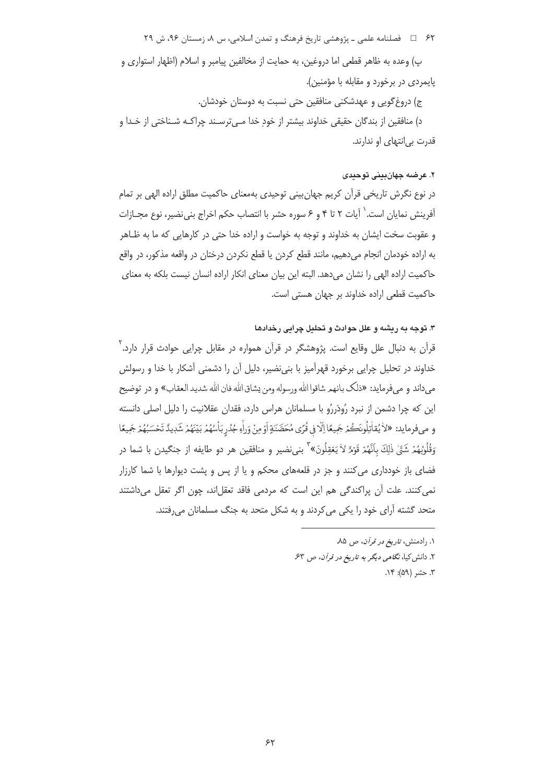۶۲ = فصلنامه علمی ـ پژوهشی تاریخ فرهنگ و تمدن اسلامی، س ۸، زمستان ۹۶، ش ۲۹

پ) وعده به ظاهر قطعی اما دروغین، به حمایت از مخالفین پیامبر و اسلام (اظهار استواری و پایمردی در برخورد و مقابله با مؤمنین). ج) دروغ گويي و عهدشكني منافقين حتى نسبت به دوستان خودشان. د) منافقين از بندگان حقيقي خداوند بيشتر از خود خدا مـي ترسـند چراكــه شــناختي از خــدا و قدرت بي انتهای او ندارند.

#### ۲. عرضه جهان بيني توحيدي

در نوع نگرش تاریخی قرآن کریم جهان بینی توحیدی بهمعنای حاکمیت مطلق اراده الهی بر تمام آفرینش نمایان است. ٰ آیات ۲ تا ۴ و ۶ سوره حشر با انتصاب حکم اخراج بنی نضیر، نوع مجـازات و عقوبت سخت ایشان به خداوند و توجه به خواست و اراده خدا حتی در کارهایی که ما به ظـاهر به اراده خودمان انجام می دهیم، مانند قطع کردن یا قطع نکردن درختان در واقعه مذکور، در واقع حاكميت اراده الهي را نشان مي دهد. البته اين بيان معناي انكار اراده انسان نيست بلكه به معناي حاكميت قطعي اراده خداوند بر جهان هستي است.

#### ۳. توجه به ریشه و علل حوادث و تحلیل چرایی رخدادها

قرآن به دنبال علل وقایع است. پژوهشگر در قرآن همواره در مقابل چرایی حوادث قرار دارد.<sup>۲</sup> خداوند در تحلیل چرایی برخورد قهرآمیز با بنینضیر، دلیل آن را دشمنی آشکار با خدا و رسولش مى داند و مى فرمايد: «ذلك بانهم شاقوا الله ورسوله ومن يشاق الله فان الله شديد العقاب» و در توضيح این که چرا دشمن از نبرد رُودَررُو با مسلمانان هراس دارد، فقدان عقلانیت را دلیل اصلی دانسته و ميفرمايد: «لاٰ يُقاٰتِلُونَڪُمْ جَمِيعًا اِلَّا فِي قُرًى مُحَصَّنَةٍ أَوْمِنْ وَراٰءِ جُدُرِبَاْسُهُمْ بَيْنَهُمْ شَدٖيدٌ تَحْسَبُهُمْ جَمِيعًا <sub>وَ</sub>قُلُوبُهُمْ شَقٍّ ذٰلِكَ بِأَنَّهُمْ قَوْمٌ لاٰ يَعْقِلُونَ» ۖ بني نضير و منافقين هر دو طايفه از جنگيدن با شما در فضای باز خودداری می کنند و جز در قلعههای محکم و یا از پس و پشت دیوارها با شما کارزار نمی کنند. علت آن پراکندگی هم این است که مردمی فاقد تعقلاند، چون اگر تعقل میداشتند متحد گشته آرای خود را یکی می کردند و به شکل متحد به جنگ مسلمانان می رفتند.

> ۰. رادمنش، ت*اریخ در قرآن*، ص ۸۵. ۲. دانش کیا، نگامی دیگر به تاریخ در قرآن، ص ۶۳. ٣. حشر (۵۹): ١۴.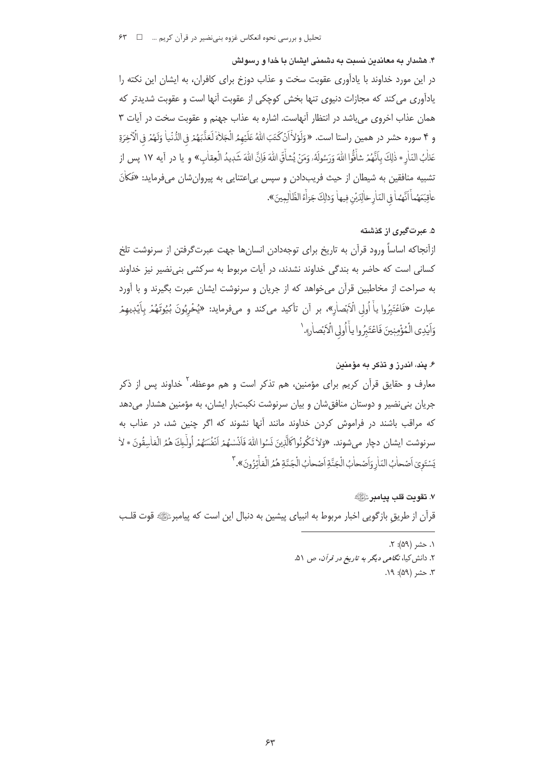۴. هشدار به معاندین نسبت به دشمنی ایشان با خدا و رسولش

در این مورد خداوند با یادآوری عقوبت سخت و عذاب دوزخ برای کافران، به ایشان این نکته را یادآوری می کند که مجازات دنیوی تنها بخش کوچکی از عقوبت آنها است و عقوبت شدیدتر که همان عذاب اخروی می باشد در انتظار آنهاست. اشاره به عذاب جهنم و عقوبت سخت در آیات ۳ و ۴ سوره حشر در همين راستا است. «وَلَوْلاَّانٌكَتَبَ اللَّهُ عَلَيْهِمُ الْجَلاٰءَ لَعَذَّبَهُمْ فِي الدُّنْياٰ وَلَهُمْ فِي الْأَخِرَةِ عَذٰلُ النّارِ \* ذٰلِكَ بِأَنَّهُمْ شأَفُّوا اللهَ وَرَسُولَهُۥ وَمَنْ يُشأَقِّ اللهَ فَإنَّ اللهَ شَدٖيدُ الْعِقاٰبِ» و يا در آيه ١٧ پس از تشبیه منافقین به شیطان از حیث فریبدادن و سپس بی|عتنایی به پیروانشان میفرماید: «فَكاٰنَ عاْقِبَعَهُماْ أَنَّهُماْ في النّارِخالِدَيْن فِيهاْ وَذلِكَ جَزاَّءُ الظّالِمِينَ».

# ۵. عبرتگیری از گذشته

ازآنجاكه اساساً ورود قرآن به تاريخ براي توجهدادن انسانها جهت عبرت $\mathfrak{d}$ وفتن از سرنوشت تلخ کسانی است که حاضر به بندگی خداوند نشدند، در آیات مربوط به سرکشی بنی نضیر نیز خداوند به صراحت از مخاطبین قرآن میخواهد که از جریان و سرنوشت ایشان عبرت بگیرند و با آورد عبارت «فَاعْتَبُروا ياْ أُولى الْاَبْصاٰر»، بر آن تأكيد مي كند و ميفرمايد: «يُخْرِبُونَ بُيُوتَهُمْ بِآيَڊِيهِمْ وَاَيْدِي الْمُؤْمِنِينَ فَاعْتَبِرُوا ياً أُولى الْاَبْصارِ». `

۶. ینه، اندرز و تذکر به مؤمنین معارف و حقایق قرآن کریم برای مؤمنین، هم تذکر است و هم موعظه.<sup>۲</sup> خداوند پس از ذکر جریان بنی نضیر و دوستان منافق شان و بیان سرنوشت نکبتبار ایشان، به مؤمنین هشدار می دهد که مراقب باشند در فراموش کردن خداوند مانند آنها نشوند که اگر چنین شد، در عذاب به سرنوشت ايشان دچار مي شوند. «وَلاٰ تَكُونُواكَالَّذِينَ نَسُوا اللَّهَ فَأَنْسٰهُمْ أَنْفُسَهُمْ أُولْبِكَ هُمُ الْفاٰسِقُونَ \* لاٰ يَسْتَوِيّ أَصْحابُ النّارِ وَأَصْحابُ الْجَنَّةِ أَصْحابُ الْجَنَّةِ هُمُر الْفِأْنُوُونَ». تتلمح

٧. تقويت قلب يبامير عَالِمَيْ ﴾ قرآن از طریق بازگویی اخبار مربوط به انبیای پیشین به دنبال این است که پیامبرﷺ قوت قلب

> ۱. حشر (۵۹): ۲. ۲. دانش کیا، *نگاهی دیگر به تاریخ در قرآن*، ص ۵۱. ٣. حشر (۵۹): ١٩.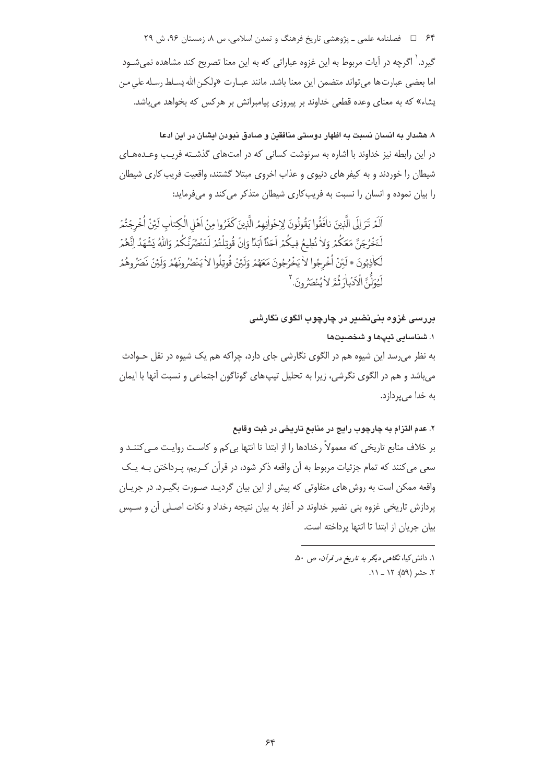۶۴ □ فصلنامه علمي ـ پژوهشي تاريخ فرهنگ و تمدن اسلامي، س ٨، زمستان ٩۶، ش ٢٩ گیرد.<sup>\</sup> اگرچه در آیات مربوط به این غزوه عباراتی که به این معنا تصریح کند مشاهده نمیشـود اما بعضي عبارت ها مي تواند متضمن اين معنا باشد. مانند عبـارت «ولكـن الله يسـلط رسـله على مـن یشاء» که به معنای وعده قطعی خداوند بر پیروزی پیامبرانش بر هرکس که بخواهد می باشد.

۸. هشدار به انسان نسبت به اظهار دوستی منافقین و صادق نبودن ایشان در این ادعا در این رابطه نیز خداوند با اشاره به سرنوشت کسانی که در امتهای گذشته فریب وعدههای شیطان را خوردند و به کیفر های دنیوی و عذاب اخروی مبتلا گشتند، واقعیت فریب کاری شیطان را بیان نموده و انسان را نسبت به فریب کاری شیطان متذکر می کند و میفرماید:

اَلَمْ تَرَ إِلَى الَّذِينَ نافَقُوا يَقُولُونَ لِإِحْواٰنِهِمُ الَّذِينَ كَفَرُوا مِنْ اَهْلِ الْكِتاٰبِ لَئِنْ أُخْرِجْتُمْ لَنَخْرُجَنَّ مَعَكُمْ وَلاٰ نُطِيعُ فِيكُمْ اَحَلَّا اَبَدَّا وَإِنْ قُوتِلْتُمْ لَنَنْصُرَنَّكُمْ وَاللهُ يَشْهَدُ إنَّهُمْ لَكَاذِبُونَ \* لَئِنْ اُخْرِجُوا لاْ يَخْرُجُونَ مَعَهُمْ وَلَئِنْ قُوتِلُوا لاْ يَنْصُرُوهَمْرِ وَلَئِنْ نَصَرُوهُمْ لَّهُوَلُّ ۚ الْكَذْمِلْ فُعَّ لِأُ مُنْصَرُونَ ۚ

بررسی غزوہ بنینضیر در چارچوب الگوی نگارشی

١. شناسايي تبيها و شخصيتها به نظر می٫رسد این شیوه هم در الگوی نگارشی جای دارد، چراکه هم یک شیوه در نقل حـوادث می باشد و هم در الگوی نگرشی، زیرا به تحلیل تیپ های گوناگون اجتماعی و نسبت آنها با ایمان به خدا میپردازد.

۲. عدم التزام به چارچوب رايج در منابع تاريخي در ثبت وقايع

بر خلاف منابع تاریخی که معمولاً رخدادها را از ابتدا تا انتها بی کم و کاست روایـت مـی کننـد و سعی می کنند که تمام جزئیات مربوط به آن واقعه ذکر شود، در قرآن کـریم، پـرداختن بـه یـک واقعه ممکن است به روش های متفاوتی که پیش از این بیان گردیـد صـورت بگیـرد. در جریـان پردازش تاریخی غزوه بنی نضیر خداوند در آغاز به بیان نتیجه رخداد و نکات اصـلی آن و سـپس بيان جريان از ابتدا تا انتها يرداخته است.

> ۱. دانش کیا، *نگاهی دیگر به تاریخ در قرآن*، ص ۵۰. ٢. حشر (۵۹): ١٢ \_ ١١.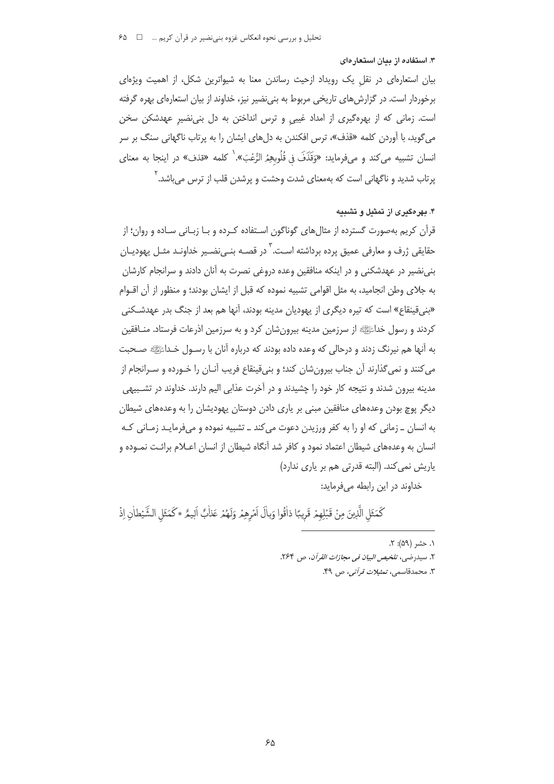#### ۳. استفاده از بیان استعار مای

بیان استعارهای در نقل یک رویداد ازحیث رساندن معنا به شیواترین شکل، از اهمیت ویژهای برخوردار است. در گزارش های تاریخی مربوط به بنی نضیر نیز، خداوند از بیان استعارهای بهره گرفته است. زمانی که از بهرهگیری از امداد غیبی و ترس انداختن به دل بنی نضیر عهدشکن سخن می گوید، با آوردن کلمه «قذف»، ترس افکندن به دلهای ایشان را به پرتاب ناگهانی سنگ بر سر انسان تشبيه ميكند و ميفرمايد: «وَقَذَفَ في قُلُوبِهِمُ الرُّعْبَ». كلمه «قذف» در اينجا به معناي پرتاب شدید و ناگهانی است که بهمعنای شدت وحشت و پرشدن قلب از ترس میباشد.<sup>۲</sup>

## ۴. بهرهگیری از تمثیل و تشبیه

قرآن کریم بهصورت گسترده از مثالهای گوناگون اسـتفاده کـرده و بـا زبـانی سـاده و روان؛ از حقایقی ژرف و معارفی عمیق پرده برداشته اسـت.<sup>۳</sup> در قصـه بنـی;نضـیر خداونـد مثـل پهودیـان بنی نضیر در عهدشکنی و در اینکه منافقین وعده دروغی نصرت به آنان دادند و سرانجام کارشان به جلای وطن انجامید، به مثل اقوامی تشبیه نموده که قبل از ایشان بودند؛ و منظور از آن اقــوام «بني قينقاع» است كه تيره ديگري از يهوديان مدينه بودند، آنها هم بعد از جنگ بدر عهدشـكني كردند و رسول خداءًﷺ از سرزمين مدينه بيرونشان كرد و به سرزمين اذرعات فرستاد. منـافقين به آنها هم نیرنگ زدند و درحالی که وعده داده بودند که درباره آنان با رسـول خـداﷺ صـحبت می کنند و نمی گذارند آن جناب بیرونِشان کند؛ و بنیقینقاع فریب آنــان را خــورده و ســرانجام از مدینه بیرون شدند و نتیجه کار خود را چشیدند و در آخرت عذابی الیم دارند. خداوند در تشـبیهی دیگر پوچ بودن وعدههای منافقین مبنی بر یاری دادن دوستان یهودیشان را به وعدههای شیطان به انسان ـ زمانی که او را به کفر ورزیدن دعوت می کند ـ تشبیه نموده و میفرمایـد زمـانی کـه انسان به وعدههای شیطان اعتماد نمود و کافر شد آنگاه شیطان از انسان اعـلام برائـت نمـوده و یاریش نمی کند. (البته قدرتی هم بر یاری ندارد) خداوند در این رابطه می فرماید:

كَمَثَلِ الَّذِينَ مِنْ قَبْلِهِمْ قَرِيبًا ذاْقُوا وَبِالَ اَمْرِهِمْ وَلَهُمْ عَذَابٌ اَلِيمٌ \*كَمَثَلِ الشَّيْطانِ إِذْ

۱. حشر (۵۹): ۲. ٢. سيدرضى، تلخيص البيان في مجازات القرآن، ص , ٢۶۴. ٣. محمدقاسمي، *تمثيلات قرآني،* ص ۴۹.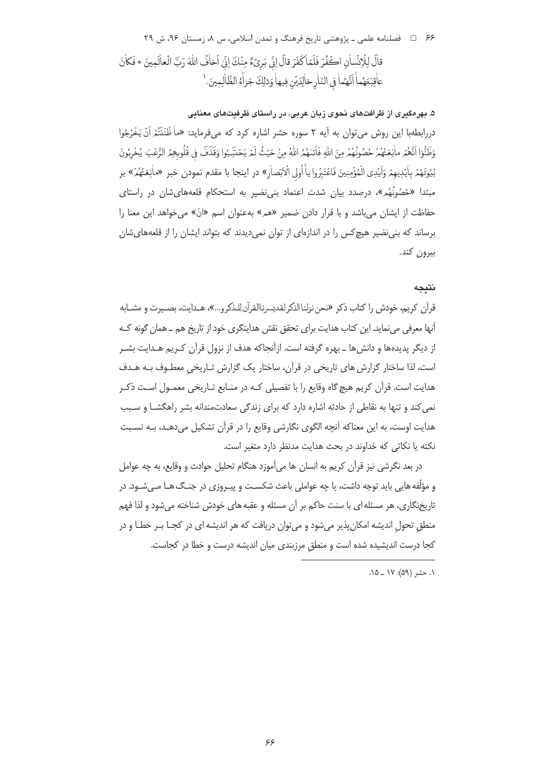# ۶۶ = فصلنامه علمي ـ پژوهشي تاريخ فرهنگ و تمدن اسلامي، س ٨، زمستان ۹۶، ش ۲۹ قالَ لِلْإِنْسانِ الْحَفْرُ فَلَمّاكَفَرَ قالَ إِنّي بَرِيٓءٌ مِنْكَ إِنِّي اَخافُ اللّهَ رَبَّ الْعالَمِينَ \* فَكانَ عاْقِبَعَهُماً اَنَّهُما في النّارِخالِدَيْن فِيها وَذلِكَ جَزاَّءُ الظّالِمِينَ. '

# ۵. بهرهگیری از ظرافتهای نحوی زبان عربی، در راستای ظرفیتهای معنابی دررابطهبا این روش می توان به آیه ۲ سوره حشر اشاره کرد که میفرماید: «ماْ ظَنَنْتُمْ اَنْ يَخْرُجُوا وَظَنُّوٓا اَنَّهُمْ ماٰنِعَتُهُمْ حُصُونُهُمْ مِنَ اللّهِ فَاَتلهُمُ اللّهُ مِنْ حَيْثُ لَمْ يَحْسَبُوا وَقَذَفَ في قُلُوبِهِمُ الرُّعْبَ يُخْرِبُونَ بُيُوتَهُمْ بِاَيْدِيهِمْ وَاَيْدِي الْمُؤْمِنِينَ فَاعْتَبِرُوا ياْ اُولِي الْاَبْصاٰرِ» در اينجا با مقدم نمودن خبر «ماٰنِعَتُهُمْ» بر مبتدا «حُصُونُهُم»، درصدد بیان شدت اعتماد بنی نضیر به استحکام قلعههایشان در راستای حفاظت از ایشان میباشد و با قرار دادن ضمیر «هم» بهعنوان اسم «انّ» میخواهد این معنا را برساند که بنی نضیر هیچ کس را در اندازمای از توان نمی دیدند که بتواند ایشان را از قلعههای شان بيرون كند.

### نتىجە

قرآن كريم، خودش را كتاب ذكر «نحن نزلناالذكر لقديسرناالقرآن للـذكرو...»، هـدايت، بصـيرت و مشــابه آنها معرفی می نماید. این کتاب هدایت برای تحقق نقش هدایتگری خود از تاریخ هم ــ همان گونه کـه از دیگر پدیدهها و دانش ها ـ بهره گرفته است. ازآنجاکه هدف از نزول قرآن کـریم هـدایت بشـر است، لذا ساختار گزارش های تاریخی در قرآن، ساختار یک گزارش تـاریخی معطـوف بـه هـدف هدایت است. قرآن کریم هیچ گاه وقایع را با تفصیلی کـه در منـابع تـاریخی معمـول اسـت ذکـر نمی کند و تنها به نقاطی از حادثه اشاره دارد که برای زندگی سعادتمندانه بشر راهگشــا و سـبب هدایت اوست، به این معناکه آنچه الگوی نگارشی وقایع را در قرآن تشکیل می دهـد، بـه نسـبت نكته يا نكاتي كه خداوند در بحث هدايت مدنظر دارد متغير است.

در بعد نگرشی نیز قرآن کریم به انسان ها می آموزد هنگام تحلیل حوادث و وقایع، به چه عوامل و مؤلّفه هایی باید توجه داشت، یا چه عواملی باعث شکسـت و پیـروزی در جنـگ هـا مـی شـود. در تاریخنگاری، هر مسئله ای با سنت حاکم بر آن مسئله و عقبه های خودش شناخته می شود و لذا فهم منطق تحول اندیشه امکان پذیر میشود و می توان دریافت که هر اندیشه ای در کجـا بـر خطـا و در كجا درست انديشيده شده است و منطق مرزبندى ميان انديشه درست و خطا در كجاست.

١. حشر (۵۹): ١٧ \_ ١٥.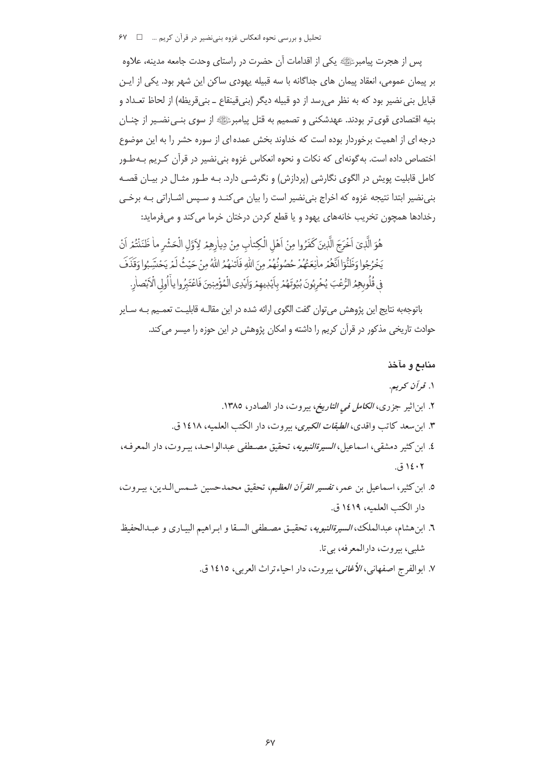تحلیل و بررسی نحوه انعکاس غزوه بنی نضیر در قرآن کریم … ۔ I × ۶۷

يس از هجرت پيامبرﷺ يكي از اقدامات آن حضرت در راستاي وحدت جامعه مدينه، علاوه بر پیمان عمومی، انعقاد پیمان های جداگانه با سه قبیله یهودی ساکن این شهر بود. یکی از ایـن قبايل بني نضير بود كه به نظر مي رسد از دو قبيله ديگر (بني قينقاع ــ بني قريظه) از لحاظ تعـداد و بنیه اقتصادی قوی تر بودند. عهدشکنی و تصمیم به قتل پیامبرﷺ از سوی بنـی نضـیر از چنــان درجه ای از اهمیت برخوردار بوده است که خداوند بخش عمده ای از سوره حشر را به این موضوع اختصاص داده است. به گونهای که نکات و نحوه انعکاس غزوه بنی نضیر در قرآن کـریم بـهطـور کامل قابلیت پویش در الگوی نگارشی (پردازش) و نگرشـی دارد. بـه طـور مثـال در بیـان قصـه بنی نضیر ابتدا نتیجه غزوه که اخراج بنی نضیر است را بیان می کنـد و سـپس اشـاراتی بـه برخـی رخدادها همچون تخریب خانههای یهود و یا قطع کردن درختان خرما می کند و میفرماید:

هُوَ الَّذِيَ اَخْرَجَ الَّذِينَ كَفَرُوا مِنْ اَهْلِ الْكِتابِ مِنْ دِياْرِهِمْ لِأَوَّلِ الْحَشْرِ ما ظَنَنْتُمْ اَنْ يَخْرُجُوا وَظَنُّوَا اَنَّعْمُ ماٰنِعَتُهُمْ حُصُونُهُمْ مِنَ اللّٰهِ فَاَتلهُمُ اللّٰهُ مِنْ حَيْثُ لَمْ يَحْشَبُوا وَقَذَفَ فِي قُلُوبِهِمُ الرُّعْبَ يُخْرِبُونَ بُيُوتَهُمْ بِاَيْدِيهِمْ وَاَيْدِي الْمُؤْمِنِينَ فَاعْتَبِرُوا يأ اُولى الْاَبْصارِ.

باتوجهبه نتايج اين پژوهش مي توان گفت الگوى ارائه شده در اين مقالـه قابليـت تعمـيم بـه سـاير حوادث تاریخی مذکور در قرآن کریم را داشته و امکان پژوهش در این حوزه را میسر می کند.

# منابع و مآخذ ۱. قرأن كريم. ۲. ابن|ثیر جزری، *الکامل فی التاریخ*، بیروت، دار الصادر، ۱۳۸۵. ٣. ابن سعد كاتب واقدى، *الطبقات الكبرى*، بيروت، دار الكتب العلميه، ١٤١٨ ق. ٤. ابن كثير دمشقى، اسماعيل، *السيرةالنبويه*، تحقيق مصطفى عبدالواحد، بيـروت، دار المعرفه، ۱٤۰۲ ق. ٥. ابن كثير، اسماعيل بن عمر، تفسير *القرآن العظيم*، تحقيق محمدحسين شـمس|لـدين، بيـروت،

- دار الكتب العلميه، ١٤١٩ ق. ٦. ابن هشام، عبدالملك، *السيرةالنبويه*، تحقيـق مصـطفى السـقا و ابـراهيم البيـاري و عبـدالحفيظ
	- شلبي، سروت، دارالمعرفه، پي تا.
	- ٧. ابوالفرج اصفهاني، الأ*غاني*، بيروت، دار احياءتراث العربي، ١٤١٥ ق.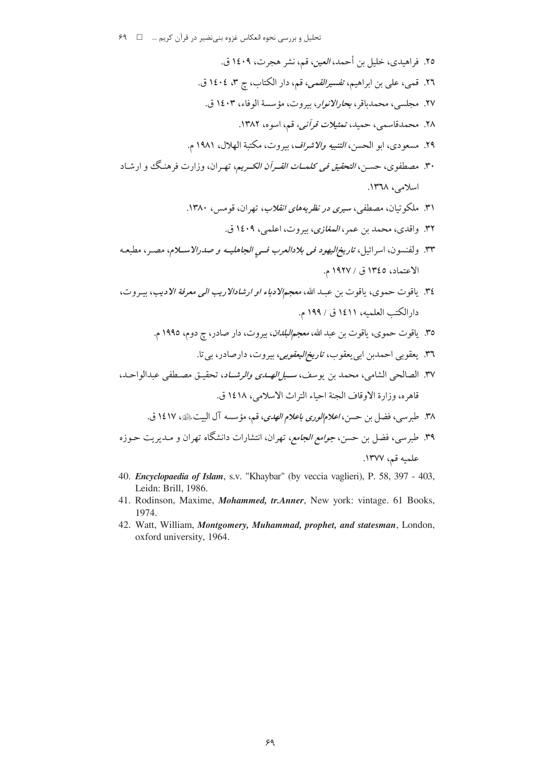تحلیل و بررسی نحوه انعکاس غزوه بنی نضیر در قرآن کریم ... □ ۶۹

- الاعتماد، ١٣٤٥ ق / ١٩٢٧ م. ٣٤. ياقوت حموي، ياقوت بن عبد الله، معجم لادباء او ارشادالاريب الى معرفة الاديب، بيروت،
- دارالكتب العلميه، ١٤١١ ق / ١٩٩ م.
	- ٣٥. ياقوت حموي، ياقوت بن عبد الله، *معجمالبلدان*، بيروت، دار صادر، ج دوم، ١٩٩٥ م.
		- ٣٦. يعقوبي احمدين ابي بعقوب، *تاريخ اليعقوبي،* بيروت، دار صادر، بي تا.
- ٣٧. الصالحي الشامي، محمد بن يوسف، سبا *الصدى والرشيا*د، تحقيق مصطفى عبدالواحيد، قاهره، وزارة الاوقاف الجنة احياء التراث الاسلامي، ١٤١٨ ق.
	- ٣٨. طبرسي، فضل بن حسن، *اعلام الوري باعلام الهدي*، قم، مؤسسه آل البيتﷺ، ١٤١٧ ق.
- ۳۹. طبرسی، فضل بن حسن، *جوامع الجامع*، تهران، انتشارات دانشگاه تهران و مـدیریت حـوزه علميه قم، ١٣٧٧.
- 40. Encyclopaedia of Islam, s.v. "Khaybar" (by veccia vaglieri), P. 58, 397 403, Leidn: Brill, 1986.
- 41. Rodinson, Maxime, Mohammed, tr.Anner, New york: vintage. 61 Books, 1974.
- 42. Watt, William, Montgomery, Muhammad, prophet, and statesman, London, oxford university, 1964.